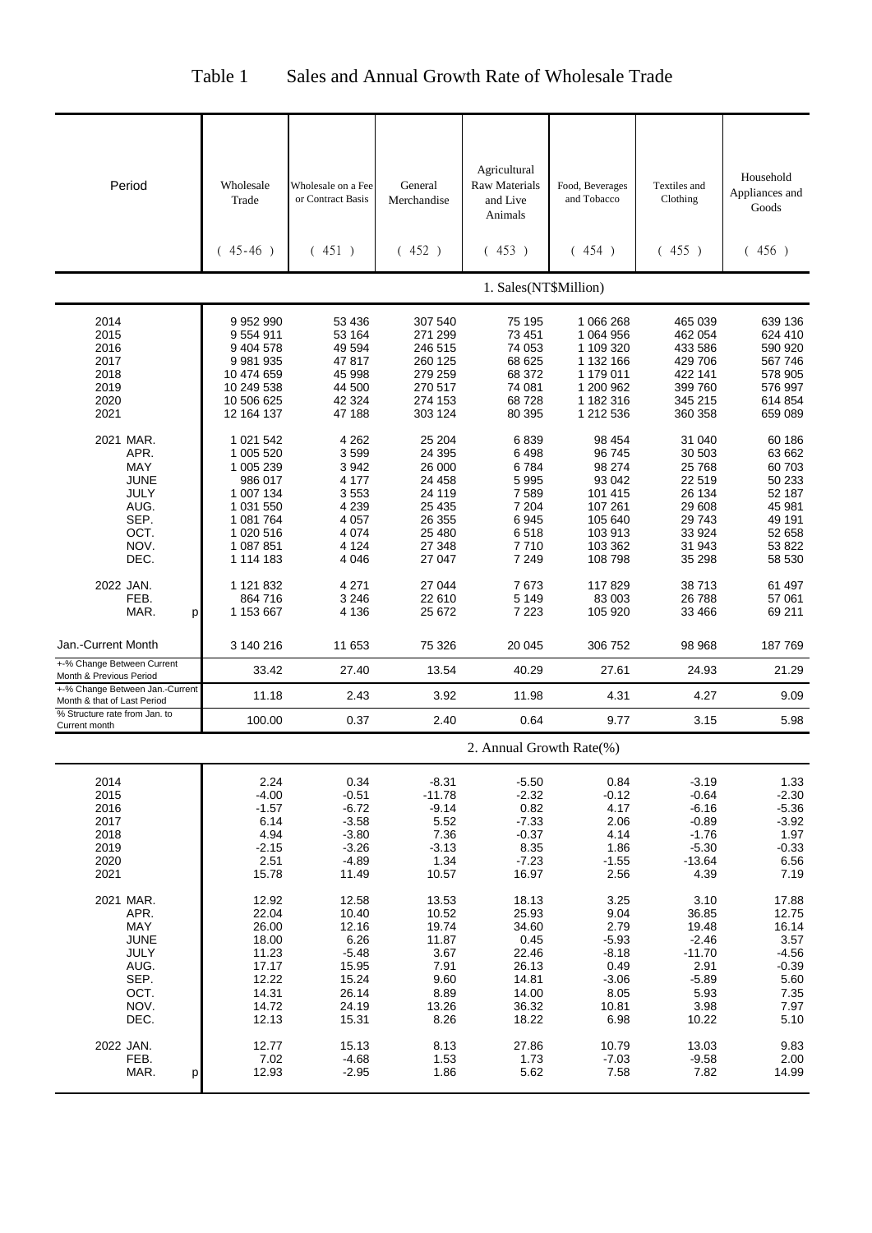| Table 1<br>Sales and Annual Growth Rate of Wholesale Trade |
|------------------------------------------------------------|
|------------------------------------------------------------|

| Period                                                                                         | Wholesale<br>Trade<br>$(45-46)$                                                                                              | Wholesale on a Fee<br>or Contract Basis<br>(451)                                                | General<br>Merchandise<br>(452)                                                                   | Agricultural<br><b>Raw Materials</b><br>and Live<br>Animals<br>(453)                  | Food, Beverages<br>and Tobacco<br>(454)                                                               | Textiles and<br>Clothing<br>(455)                                                                 | Household<br>Appliances and<br>Goods<br>(456)                                                    |
|------------------------------------------------------------------------------------------------|------------------------------------------------------------------------------------------------------------------------------|-------------------------------------------------------------------------------------------------|---------------------------------------------------------------------------------------------------|---------------------------------------------------------------------------------------|-------------------------------------------------------------------------------------------------------|---------------------------------------------------------------------------------------------------|--------------------------------------------------------------------------------------------------|
|                                                                                                |                                                                                                                              |                                                                                                 |                                                                                                   | 1. Sales(NT\$Million)                                                                 |                                                                                                       |                                                                                                   |                                                                                                  |
| 2014<br>2015<br>2016<br>2017<br>2018<br>2019<br>2020<br>2021                                   | 9 9 5 2 9 9 0<br>9554911<br>9 404 578<br>9 981 935<br>10 474 659<br>10 249 538<br>10 506 625<br>12 164 137                   | 53 436<br>53 164<br>49 594<br>47817<br>45 998<br>44 500<br>42 324<br>47 188                     | 307 540<br>271 299<br>246 515<br>260 125<br>279 259<br>270 517<br>274 153<br>303 124              | 75 195<br>73 451<br>74 053<br>68 625<br>68 372<br>74 081<br>68728<br>80 395           | 1 066 268<br>1 064 956<br>1 109 320<br>1 132 166<br>1 179 011<br>1 200 962<br>1 182 316<br>1 212 536  | 465 039<br>462 054<br>433 586<br>429 706<br>422 141<br>399 760<br>345 215<br>360 358              | 639 136<br>624 410<br>590 920<br>567 746<br>578 905<br>576 997<br>614 854<br>659 089             |
| 2021 MAR.<br>APR.<br><b>MAY</b><br><b>JUNE</b><br>JULY<br>AUG.<br>SEP.<br>OCT.<br>NOV.<br>DEC. | 1 021 542<br>1 005 520<br>1 005 239<br>986 017<br>1 007 134<br>1 031 550<br>1 081 764<br>1 020 516<br>1 087 851<br>1 114 183 | 4 2 6 2<br>3599<br>3942<br>4 177<br>3553<br>4 2 3 9<br>4 0 5 7<br>4 0 7 4<br>4 1 2 4<br>4 0 4 6 | 25 204<br>24 395<br>26 000<br>24 458<br>24 119<br>25 4 35<br>26 355<br>25 480<br>27 348<br>27 047 | 6839<br>6498<br>6784<br>5995<br>7589<br>7 204<br>6945<br>6518<br>7710<br>7 2 4 9      | 98 454<br>96745<br>98 274<br>93 042<br>101 415<br>107 261<br>105 640<br>103 913<br>103 362<br>108 798 | 31 040<br>30 503<br>25 7 68<br>22 519<br>26 134<br>29 608<br>29743<br>33 9 24<br>31 943<br>35 298 | 60 186<br>63 662<br>60 703<br>50 233<br>52 187<br>45 981<br>49 191<br>52 658<br>53 822<br>58 530 |
| 2022 JAN.<br>FEB.<br>MAR.<br>p                                                                 | 1 121 832<br>864 716<br>1 153 667                                                                                            | 4 271<br>3 2 4 6<br>4 1 3 6                                                                     | 27 044<br>22 610<br>25 672                                                                        | 7673<br>5 1 4 9<br>7 2 2 3                                                            | 117829<br>83 003<br>105 920                                                                           | 38713<br>26788<br>33 4 66                                                                         | 61 497<br>57 061<br>69 211                                                                       |
| Jan.-Current Month<br>+-% Change Between Current                                               | 3 140 216                                                                                                                    | 11 653                                                                                          | 75 326                                                                                            | 20 045                                                                                | 306 752                                                                                               | 98 968                                                                                            | 187769                                                                                           |
| Month & Previous Period<br>+-% Change Between Jan.-Current                                     | 33.42                                                                                                                        | 27.40                                                                                           | 13.54                                                                                             | 40.29                                                                                 | 27.61                                                                                                 | 24.93                                                                                             | 21.29                                                                                            |
| Month & that of Last Period<br>% Structure rate from Jan. to                                   | 11.18<br>100.00                                                                                                              | 2.43<br>0.37                                                                                    | 3.92<br>2.40                                                                                      | 11.98<br>0.64                                                                         | 4.31<br>9.77                                                                                          | 4.27<br>3.15                                                                                      | 9.09<br>5.98                                                                                     |
| Current month                                                                                  |                                                                                                                              |                                                                                                 |                                                                                                   | 2. Annual Growth Rate(%)                                                              |                                                                                                       |                                                                                                   |                                                                                                  |
|                                                                                                |                                                                                                                              |                                                                                                 |                                                                                                   |                                                                                       |                                                                                                       |                                                                                                   |                                                                                                  |
| 2014<br>2015<br>2016<br>2017<br>2018<br>2019<br>2020<br>2021                                   | 2.24<br>$-4.00$<br>$-1.57$<br>6.14<br>4.94<br>$-2.15$<br>2.51<br>15.78                                                       | 0.34<br>$-0.51$<br>$-6.72$<br>$-3.58$<br>$-3.80$<br>$-3.26$<br>$-4.89$<br>11.49                 | $-8.31$<br>$-11.78$<br>$-9.14$<br>5.52<br>7.36<br>$-3.13$<br>1.34<br>10.57                        | $-5.50$<br>$-2.32$<br>0.82<br>$-7.33$<br>$-0.37$<br>8.35<br>$-7.23$<br>16.97          | 0.84<br>$-0.12$<br>4.17<br>2.06<br>4.14<br>1.86<br>$-1.55$<br>2.56                                    | $-3.19$<br>$-0.64$<br>$-6.16$<br>$-0.89$<br>$-1.76$<br>$-5.30$<br>$-13.64$<br>4.39                | 1.33<br>$-2.30$<br>$-5.36$<br>$-3.92$<br>1.97<br>$-0.33$<br>6.56<br>7.19                         |
| 2021 MAR.<br>APR.<br>MAY<br><b>JUNE</b><br>JULY<br>AUG.<br>SEP.<br>OCT.<br>NOV.<br>DEC.        | 12.92<br>22.04<br>26.00<br>18.00<br>11.23<br>17.17<br>12.22<br>14.31<br>14.72<br>12.13                                       | 12.58<br>10.40<br>12.16<br>6.26<br>$-5.48$<br>15.95<br>15.24<br>26.14<br>24.19<br>15.31         | 13.53<br>10.52<br>19.74<br>11.87<br>3.67<br>7.91<br>9.60<br>8.89<br>13.26<br>8.26                 | 18.13<br>25.93<br>34.60<br>0.45<br>22.46<br>26.13<br>14.81<br>14.00<br>36.32<br>18.22 | 3.25<br>9.04<br>2.79<br>$-5.93$<br>$-8.18$<br>0.49<br>$-3.06$<br>8.05<br>10.81<br>6.98                | 3.10<br>36.85<br>19.48<br>$-2.46$<br>$-11.70$<br>2.91<br>$-5.89$<br>5.93<br>3.98<br>10.22         | 17.88<br>12.75<br>16.14<br>3.57<br>$-4.56$<br>$-0.39$<br>5.60<br>7.35<br>7.97<br>5.10            |
| 2022 JAN.<br>FEB.<br>MAR.<br>р                                                                 | 12.77<br>7.02<br>12.93                                                                                                       | 15.13<br>$-4.68$<br>$-2.95$                                                                     | 8.13<br>1.53<br>1.86                                                                              | 27.86<br>1.73<br>5.62                                                                 | 10.79<br>$-7.03$<br>7.58                                                                              | 13.03<br>$-9.58$<br>7.82                                                                          | 9.83<br>2.00<br>14.99                                                                            |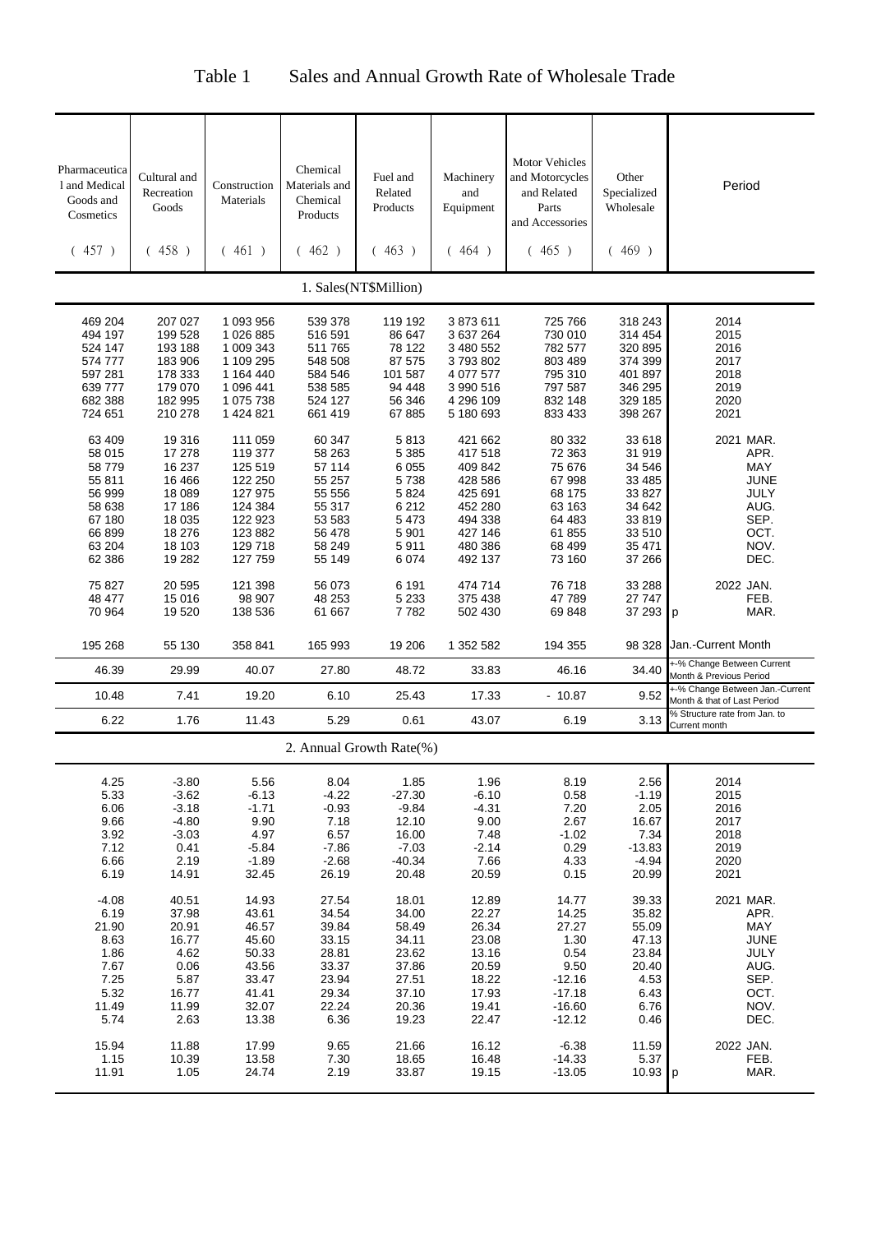# Table 1 Sales and Annual Growth Rate of Wholesale Trade

| <b>Motor Vehicles</b><br>Pharmaceutica<br>Chemical<br>Cultural and<br>and Motorcycles<br>Other<br>Fuel and<br>Machinery<br>1 and Medical<br>Materials and<br>Period<br>Construction<br>Related<br>and<br>and Related<br>Specialized<br>Recreation<br>Goods and<br>Materials<br>Chemical<br>Products<br>Parts<br>Wholesale<br>Goods<br>Equipment<br>Cosmetics<br>Products<br>and Accessories<br>(457)<br>(458)<br>461)<br>(462)<br>(463)<br>(465)<br>(469)<br>(464)<br>1. Sales(NT\$Million)<br>318 243<br>2014<br>469 204<br>207 027<br>1 093 956<br>539 378<br>119 192<br>3873611<br>725 766<br>494 197<br>199 528<br>1026885<br>516 591<br>86 647<br>3 637 264<br>730 010<br>2015<br>314 454<br>524 147<br>193 188<br>1 009 343<br>78 122<br>3 480 552<br>782 577<br>320 895<br>2016<br>511 765<br>1 109 295<br>87 575<br>3793802<br>803 489<br>374 399<br>2017<br>574 777<br>183 906<br>548 508<br>101 587<br>597 281<br>178 333<br>1 164 440<br>4 077 577<br>795 310<br>401 897<br>2018<br>584 546<br>639 777<br>179 070<br>1 096 441<br>538 585<br>94 448<br>3 990 516<br>797 587<br>346 295<br>2019<br>182 995<br>1 075 738<br>56 346<br>4 296 109<br>832 148<br>329 185<br>2020<br>682 388<br>524 127<br>210 278<br>1 424 821<br>67 885<br>5 180 693<br>398 267<br>2021<br>724 651<br>661 419<br>833 433<br>33 618<br>2021 MAR.<br>63 409<br>19 316<br>111 059<br>60 347<br>5813<br>421 662<br>80 332<br>31 919<br>17 278<br>119 377<br>58 263<br>5 3 8 5<br>417 518<br>72 363<br>APR.<br>58 015<br>58 779<br>16 237<br>125 519<br>57 114<br>6 0 5 5<br>409 842<br>75 676<br>34 546<br>MAY<br>16 4 66<br>122 250<br>55 257<br>5738<br>428 586<br>67 998<br>33 4 85<br><b>JUNE</b><br>55 811<br>127 975<br>56 999<br>18 089<br>55 556<br>5 8 2 4<br>425 691<br>68 175<br>33 827<br>JULY<br>34 642<br>124 384<br>55 317<br>6 2 1 2<br>452 280<br>63 163<br>AUG.<br>58 638<br>17 186<br>SEP.<br>122 923<br>53 583<br>5 4 7 3<br>494 338<br>64 483<br>33 819<br>67 180<br>18 0 35<br>OCT.<br>66 899<br>18 276<br>123 882<br>56 478<br>5 9 0 1<br>427 146<br>61 855<br>33 510<br>NOV.<br>63 204<br>129 718<br>5911<br>480 386<br>68 499<br>35 471<br>18 103<br>58 249<br>19 282<br>127 759<br>6 0 7 4<br>492 137<br>37 266<br>DEC.<br>62 386<br>55 149<br>73 160<br>20 5 95<br>121 398<br>56 073<br>6 1 9 1<br>474 714<br>76 718<br>33 288<br>2022 JAN.<br>75 827<br>98 907<br>48 253<br>5 2 3 3<br>47789<br>27 747<br>FEB.<br>48 477<br>15 016<br>375 438<br>70 964<br>19 5 20<br>138 536<br>61 667<br>7782<br>69 848<br>37 293 p<br>MAR.<br>502 430<br>358 841<br>19 20 6<br>1 352 582<br>98 328 Jan.-Current Month<br>195 268<br>55 130<br>165 993<br>194 355<br>+-% Change Between Current<br>40.07<br>48.72<br>33.83<br>46.39<br>29.99<br>27.80<br>46.16<br>34.40<br>Month & Previous Period<br>19.20<br>6.10<br>25.43<br>17.33<br>10.48<br>7.41<br>$-10.87$<br>9.52<br>Month & that of Last Period<br>% Structure rate from Jan. to<br>6.22<br>11.43<br>5.29<br>43.07<br>1.76<br>0.61<br>6.19<br>3.13<br>Current month<br>2. Annual Growth Rate(%)<br>5.56<br>2.56<br>2014<br>4.25<br>$-3.80$<br>8.04<br>1.85<br>1.96<br>8.19<br>5.33<br>$-3.62$<br>$-6.13$<br>$-27.30$<br>0.58<br>$-1.19$<br>2015<br>$-4.22$<br>$-6.10$<br>6.06<br>$-3.18$<br>$-1.71$<br>$-9.84$<br>2.05<br>2016<br>$-0.93$<br>$-4.31$<br>7.20<br>9.90<br>9.66<br>$-4.80$<br>12.10<br>9.00<br>16.67<br>2017<br>7.18<br>2.67<br>3.92<br>4.97<br>16.00<br>7.34<br>2018<br>$-3.03$<br>6.57<br>7.48<br>$-1.02$<br>7.12<br>$-7.03$<br>$-13.83$<br>$-5.84$<br>0.29<br>2019<br>0.41<br>-7.86<br>$-2.14$<br>6.66<br>2.19<br>$-1.89$<br>$-40.34$<br>7.66<br>$-4.94$<br>2020<br>$-2.68$<br>4.33<br>20.48<br>2021<br>6.19<br>14.91<br>32.45<br>26.19<br>20.59<br>20.99<br>0.15<br>40.51<br>27.54<br>39.33<br>2021 MAR.<br>$-4.08$<br>14.93<br>18.01<br>12.89<br>14.77<br>35.82<br>6.19<br>37.98<br>43.61<br>34.54<br>34.00<br>22.27<br>14.25<br>APR.<br>26.34<br>55.09<br>MAY<br>21.90<br>20.91<br>46.57<br>39.84<br>58.49<br>27.27<br>JUNE<br>45.60<br>34.11<br>23.08<br>47.13<br>8.63<br>16.77<br>33.15<br>1.30<br>23.84<br>23.62<br>JULY<br>1.86<br>4.62<br>50.33<br>28.81<br>13.16<br>0.54<br>AUG.<br>0.06<br>43.56<br>33.37<br>37.86<br>9.50<br>20.40<br>7.67<br>20.59<br>4.53<br>SEP.<br>7.25<br>5.87<br>33.47<br>23.94<br>27.51<br>18.22<br>$-12.16$<br>OCT.<br>5.32<br>16.77<br>29.34<br>37.10<br>$-17.18$<br>6.43<br>41.41<br>17.93<br>11.49<br>$-16.60$<br>6.76<br>NOV.<br>11.99<br>32.07<br>22.24<br>20.36<br>19.41<br>5.74<br>2.63<br>13.38<br>$-12.12$<br>DEC.<br>6.36<br>19.23<br>22.47<br>0.46<br>2022 JAN.<br>15.94<br>11.88<br>17.99<br>9.65<br>21.66<br>16.12<br>$-6.38$<br>11.59<br>5.37<br>FEB.<br>1.15<br>10.39<br>13.58<br>7.30<br>18.65<br>16.48<br>$-14.33$<br>1.05<br>24.74<br>33.87<br>$-13.05$<br>MAR.<br>11.91<br>2.19<br>19.15<br>$10.93$ p |  |  |  |  |                                 |
|----------------------------------------------------------------------------------------------------------------------------------------------------------------------------------------------------------------------------------------------------------------------------------------------------------------------------------------------------------------------------------------------------------------------------------------------------------------------------------------------------------------------------------------------------------------------------------------------------------------------------------------------------------------------------------------------------------------------------------------------------------------------------------------------------------------------------------------------------------------------------------------------------------------------------------------------------------------------------------------------------------------------------------------------------------------------------------------------------------------------------------------------------------------------------------------------------------------------------------------------------------------------------------------------------------------------------------------------------------------------------------------------------------------------------------------------------------------------------------------------------------------------------------------------------------------------------------------------------------------------------------------------------------------------------------------------------------------------------------------------------------------------------------------------------------------------------------------------------------------------------------------------------------------------------------------------------------------------------------------------------------------------------------------------------------------------------------------------------------------------------------------------------------------------------------------------------------------------------------------------------------------------------------------------------------------------------------------------------------------------------------------------------------------------------------------------------------------------------------------------------------------------------------------------------------------------------------------------------------------------------------------------------------------------------------------------------------------------------------------------------------------------------------------------------------------------------------------------------------------------------------------------------------------------------------------------------------------------------------------------------------------------------------------------------------------------------------------------------------------------------------------------------------------------------------------------------------------------------------------------------------------------------------------------------------------------------------------------------------------------------------------------------------------------------------------------------------------------------------------------------------------------------------------------------------------------------------------------------------------------------------------------------------------------------------------------------------------------------------------------------------------------------------------------------------------------------------------------------------------------------------------------------------------------------------------------------------------------------------------------------------------------------------------------------------------------------------------------------------------------------------------------------------------------------------------------------------------------------------------------------------------------------------------------------------------------------------------------------------------------------------------------------------------------------------------------------------------------------------------------------------------------------------------------------------------------------------------------------------------------------------------------------------------------------------------------------------------------------------------------------------------------------------------------------------------------------------------|--|--|--|--|---------------------------------|
|                                                                                                                                                                                                                                                                                                                                                                                                                                                                                                                                                                                                                                                                                                                                                                                                                                                                                                                                                                                                                                                                                                                                                                                                                                                                                                                                                                                                                                                                                                                                                                                                                                                                                                                                                                                                                                                                                                                                                                                                                                                                                                                                                                                                                                                                                                                                                                                                                                                                                                                                                                                                                                                                                                                                                                                                                                                                                                                                                                                                                                                                                                                                                                                                                                                                                                                                                                                                                                                                                                                                                                                                                                                                                                                                                                                                                                                                                                                                                                                                                                                                                                                                                                                                                                                                                                                                                                                                                                                                                                                                                                                                                                                                                                                                                                                                                                        |  |  |  |  |                                 |
|                                                                                                                                                                                                                                                                                                                                                                                                                                                                                                                                                                                                                                                                                                                                                                                                                                                                                                                                                                                                                                                                                                                                                                                                                                                                                                                                                                                                                                                                                                                                                                                                                                                                                                                                                                                                                                                                                                                                                                                                                                                                                                                                                                                                                                                                                                                                                                                                                                                                                                                                                                                                                                                                                                                                                                                                                                                                                                                                                                                                                                                                                                                                                                                                                                                                                                                                                                                                                                                                                                                                                                                                                                                                                                                                                                                                                                                                                                                                                                                                                                                                                                                                                                                                                                                                                                                                                                                                                                                                                                                                                                                                                                                                                                                                                                                                                                        |  |  |  |  |                                 |
|                                                                                                                                                                                                                                                                                                                                                                                                                                                                                                                                                                                                                                                                                                                                                                                                                                                                                                                                                                                                                                                                                                                                                                                                                                                                                                                                                                                                                                                                                                                                                                                                                                                                                                                                                                                                                                                                                                                                                                                                                                                                                                                                                                                                                                                                                                                                                                                                                                                                                                                                                                                                                                                                                                                                                                                                                                                                                                                                                                                                                                                                                                                                                                                                                                                                                                                                                                                                                                                                                                                                                                                                                                                                                                                                                                                                                                                                                                                                                                                                                                                                                                                                                                                                                                                                                                                                                                                                                                                                                                                                                                                                                                                                                                                                                                                                                                        |  |  |  |  |                                 |
|                                                                                                                                                                                                                                                                                                                                                                                                                                                                                                                                                                                                                                                                                                                                                                                                                                                                                                                                                                                                                                                                                                                                                                                                                                                                                                                                                                                                                                                                                                                                                                                                                                                                                                                                                                                                                                                                                                                                                                                                                                                                                                                                                                                                                                                                                                                                                                                                                                                                                                                                                                                                                                                                                                                                                                                                                                                                                                                                                                                                                                                                                                                                                                                                                                                                                                                                                                                                                                                                                                                                                                                                                                                                                                                                                                                                                                                                                                                                                                                                                                                                                                                                                                                                                                                                                                                                                                                                                                                                                                                                                                                                                                                                                                                                                                                                                                        |  |  |  |  |                                 |
|                                                                                                                                                                                                                                                                                                                                                                                                                                                                                                                                                                                                                                                                                                                                                                                                                                                                                                                                                                                                                                                                                                                                                                                                                                                                                                                                                                                                                                                                                                                                                                                                                                                                                                                                                                                                                                                                                                                                                                                                                                                                                                                                                                                                                                                                                                                                                                                                                                                                                                                                                                                                                                                                                                                                                                                                                                                                                                                                                                                                                                                                                                                                                                                                                                                                                                                                                                                                                                                                                                                                                                                                                                                                                                                                                                                                                                                                                                                                                                                                                                                                                                                                                                                                                                                                                                                                                                                                                                                                                                                                                                                                                                                                                                                                                                                                                                        |  |  |  |  |                                 |
|                                                                                                                                                                                                                                                                                                                                                                                                                                                                                                                                                                                                                                                                                                                                                                                                                                                                                                                                                                                                                                                                                                                                                                                                                                                                                                                                                                                                                                                                                                                                                                                                                                                                                                                                                                                                                                                                                                                                                                                                                                                                                                                                                                                                                                                                                                                                                                                                                                                                                                                                                                                                                                                                                                                                                                                                                                                                                                                                                                                                                                                                                                                                                                                                                                                                                                                                                                                                                                                                                                                                                                                                                                                                                                                                                                                                                                                                                                                                                                                                                                                                                                                                                                                                                                                                                                                                                                                                                                                                                                                                                                                                                                                                                                                                                                                                                                        |  |  |  |  |                                 |
|                                                                                                                                                                                                                                                                                                                                                                                                                                                                                                                                                                                                                                                                                                                                                                                                                                                                                                                                                                                                                                                                                                                                                                                                                                                                                                                                                                                                                                                                                                                                                                                                                                                                                                                                                                                                                                                                                                                                                                                                                                                                                                                                                                                                                                                                                                                                                                                                                                                                                                                                                                                                                                                                                                                                                                                                                                                                                                                                                                                                                                                                                                                                                                                                                                                                                                                                                                                                                                                                                                                                                                                                                                                                                                                                                                                                                                                                                                                                                                                                                                                                                                                                                                                                                                                                                                                                                                                                                                                                                                                                                                                                                                                                                                                                                                                                                                        |  |  |  |  |                                 |
|                                                                                                                                                                                                                                                                                                                                                                                                                                                                                                                                                                                                                                                                                                                                                                                                                                                                                                                                                                                                                                                                                                                                                                                                                                                                                                                                                                                                                                                                                                                                                                                                                                                                                                                                                                                                                                                                                                                                                                                                                                                                                                                                                                                                                                                                                                                                                                                                                                                                                                                                                                                                                                                                                                                                                                                                                                                                                                                                                                                                                                                                                                                                                                                                                                                                                                                                                                                                                                                                                                                                                                                                                                                                                                                                                                                                                                                                                                                                                                                                                                                                                                                                                                                                                                                                                                                                                                                                                                                                                                                                                                                                                                                                                                                                                                                                                                        |  |  |  |  |                                 |
|                                                                                                                                                                                                                                                                                                                                                                                                                                                                                                                                                                                                                                                                                                                                                                                                                                                                                                                                                                                                                                                                                                                                                                                                                                                                                                                                                                                                                                                                                                                                                                                                                                                                                                                                                                                                                                                                                                                                                                                                                                                                                                                                                                                                                                                                                                                                                                                                                                                                                                                                                                                                                                                                                                                                                                                                                                                                                                                                                                                                                                                                                                                                                                                                                                                                                                                                                                                                                                                                                                                                                                                                                                                                                                                                                                                                                                                                                                                                                                                                                                                                                                                                                                                                                                                                                                                                                                                                                                                                                                                                                                                                                                                                                                                                                                                                                                        |  |  |  |  |                                 |
|                                                                                                                                                                                                                                                                                                                                                                                                                                                                                                                                                                                                                                                                                                                                                                                                                                                                                                                                                                                                                                                                                                                                                                                                                                                                                                                                                                                                                                                                                                                                                                                                                                                                                                                                                                                                                                                                                                                                                                                                                                                                                                                                                                                                                                                                                                                                                                                                                                                                                                                                                                                                                                                                                                                                                                                                                                                                                                                                                                                                                                                                                                                                                                                                                                                                                                                                                                                                                                                                                                                                                                                                                                                                                                                                                                                                                                                                                                                                                                                                                                                                                                                                                                                                                                                                                                                                                                                                                                                                                                                                                                                                                                                                                                                                                                                                                                        |  |  |  |  |                                 |
|                                                                                                                                                                                                                                                                                                                                                                                                                                                                                                                                                                                                                                                                                                                                                                                                                                                                                                                                                                                                                                                                                                                                                                                                                                                                                                                                                                                                                                                                                                                                                                                                                                                                                                                                                                                                                                                                                                                                                                                                                                                                                                                                                                                                                                                                                                                                                                                                                                                                                                                                                                                                                                                                                                                                                                                                                                                                                                                                                                                                                                                                                                                                                                                                                                                                                                                                                                                                                                                                                                                                                                                                                                                                                                                                                                                                                                                                                                                                                                                                                                                                                                                                                                                                                                                                                                                                                                                                                                                                                                                                                                                                                                                                                                                                                                                                                                        |  |  |  |  |                                 |
|                                                                                                                                                                                                                                                                                                                                                                                                                                                                                                                                                                                                                                                                                                                                                                                                                                                                                                                                                                                                                                                                                                                                                                                                                                                                                                                                                                                                                                                                                                                                                                                                                                                                                                                                                                                                                                                                                                                                                                                                                                                                                                                                                                                                                                                                                                                                                                                                                                                                                                                                                                                                                                                                                                                                                                                                                                                                                                                                                                                                                                                                                                                                                                                                                                                                                                                                                                                                                                                                                                                                                                                                                                                                                                                                                                                                                                                                                                                                                                                                                                                                                                                                                                                                                                                                                                                                                                                                                                                                                                                                                                                                                                                                                                                                                                                                                                        |  |  |  |  |                                 |
|                                                                                                                                                                                                                                                                                                                                                                                                                                                                                                                                                                                                                                                                                                                                                                                                                                                                                                                                                                                                                                                                                                                                                                                                                                                                                                                                                                                                                                                                                                                                                                                                                                                                                                                                                                                                                                                                                                                                                                                                                                                                                                                                                                                                                                                                                                                                                                                                                                                                                                                                                                                                                                                                                                                                                                                                                                                                                                                                                                                                                                                                                                                                                                                                                                                                                                                                                                                                                                                                                                                                                                                                                                                                                                                                                                                                                                                                                                                                                                                                                                                                                                                                                                                                                                                                                                                                                                                                                                                                                                                                                                                                                                                                                                                                                                                                                                        |  |  |  |  |                                 |
|                                                                                                                                                                                                                                                                                                                                                                                                                                                                                                                                                                                                                                                                                                                                                                                                                                                                                                                                                                                                                                                                                                                                                                                                                                                                                                                                                                                                                                                                                                                                                                                                                                                                                                                                                                                                                                                                                                                                                                                                                                                                                                                                                                                                                                                                                                                                                                                                                                                                                                                                                                                                                                                                                                                                                                                                                                                                                                                                                                                                                                                                                                                                                                                                                                                                                                                                                                                                                                                                                                                                                                                                                                                                                                                                                                                                                                                                                                                                                                                                                                                                                                                                                                                                                                                                                                                                                                                                                                                                                                                                                                                                                                                                                                                                                                                                                                        |  |  |  |  |                                 |
|                                                                                                                                                                                                                                                                                                                                                                                                                                                                                                                                                                                                                                                                                                                                                                                                                                                                                                                                                                                                                                                                                                                                                                                                                                                                                                                                                                                                                                                                                                                                                                                                                                                                                                                                                                                                                                                                                                                                                                                                                                                                                                                                                                                                                                                                                                                                                                                                                                                                                                                                                                                                                                                                                                                                                                                                                                                                                                                                                                                                                                                                                                                                                                                                                                                                                                                                                                                                                                                                                                                                                                                                                                                                                                                                                                                                                                                                                                                                                                                                                                                                                                                                                                                                                                                                                                                                                                                                                                                                                                                                                                                                                                                                                                                                                                                                                                        |  |  |  |  |                                 |
|                                                                                                                                                                                                                                                                                                                                                                                                                                                                                                                                                                                                                                                                                                                                                                                                                                                                                                                                                                                                                                                                                                                                                                                                                                                                                                                                                                                                                                                                                                                                                                                                                                                                                                                                                                                                                                                                                                                                                                                                                                                                                                                                                                                                                                                                                                                                                                                                                                                                                                                                                                                                                                                                                                                                                                                                                                                                                                                                                                                                                                                                                                                                                                                                                                                                                                                                                                                                                                                                                                                                                                                                                                                                                                                                                                                                                                                                                                                                                                                                                                                                                                                                                                                                                                                                                                                                                                                                                                                                                                                                                                                                                                                                                                                                                                                                                                        |  |  |  |  |                                 |
|                                                                                                                                                                                                                                                                                                                                                                                                                                                                                                                                                                                                                                                                                                                                                                                                                                                                                                                                                                                                                                                                                                                                                                                                                                                                                                                                                                                                                                                                                                                                                                                                                                                                                                                                                                                                                                                                                                                                                                                                                                                                                                                                                                                                                                                                                                                                                                                                                                                                                                                                                                                                                                                                                                                                                                                                                                                                                                                                                                                                                                                                                                                                                                                                                                                                                                                                                                                                                                                                                                                                                                                                                                                                                                                                                                                                                                                                                                                                                                                                                                                                                                                                                                                                                                                                                                                                                                                                                                                                                                                                                                                                                                                                                                                                                                                                                                        |  |  |  |  |                                 |
|                                                                                                                                                                                                                                                                                                                                                                                                                                                                                                                                                                                                                                                                                                                                                                                                                                                                                                                                                                                                                                                                                                                                                                                                                                                                                                                                                                                                                                                                                                                                                                                                                                                                                                                                                                                                                                                                                                                                                                                                                                                                                                                                                                                                                                                                                                                                                                                                                                                                                                                                                                                                                                                                                                                                                                                                                                                                                                                                                                                                                                                                                                                                                                                                                                                                                                                                                                                                                                                                                                                                                                                                                                                                                                                                                                                                                                                                                                                                                                                                                                                                                                                                                                                                                                                                                                                                                                                                                                                                                                                                                                                                                                                                                                                                                                                                                                        |  |  |  |  |                                 |
|                                                                                                                                                                                                                                                                                                                                                                                                                                                                                                                                                                                                                                                                                                                                                                                                                                                                                                                                                                                                                                                                                                                                                                                                                                                                                                                                                                                                                                                                                                                                                                                                                                                                                                                                                                                                                                                                                                                                                                                                                                                                                                                                                                                                                                                                                                                                                                                                                                                                                                                                                                                                                                                                                                                                                                                                                                                                                                                                                                                                                                                                                                                                                                                                                                                                                                                                                                                                                                                                                                                                                                                                                                                                                                                                                                                                                                                                                                                                                                                                                                                                                                                                                                                                                                                                                                                                                                                                                                                                                                                                                                                                                                                                                                                                                                                                                                        |  |  |  |  |                                 |
|                                                                                                                                                                                                                                                                                                                                                                                                                                                                                                                                                                                                                                                                                                                                                                                                                                                                                                                                                                                                                                                                                                                                                                                                                                                                                                                                                                                                                                                                                                                                                                                                                                                                                                                                                                                                                                                                                                                                                                                                                                                                                                                                                                                                                                                                                                                                                                                                                                                                                                                                                                                                                                                                                                                                                                                                                                                                                                                                                                                                                                                                                                                                                                                                                                                                                                                                                                                                                                                                                                                                                                                                                                                                                                                                                                                                                                                                                                                                                                                                                                                                                                                                                                                                                                                                                                                                                                                                                                                                                                                                                                                                                                                                                                                                                                                                                                        |  |  |  |  |                                 |
|                                                                                                                                                                                                                                                                                                                                                                                                                                                                                                                                                                                                                                                                                                                                                                                                                                                                                                                                                                                                                                                                                                                                                                                                                                                                                                                                                                                                                                                                                                                                                                                                                                                                                                                                                                                                                                                                                                                                                                                                                                                                                                                                                                                                                                                                                                                                                                                                                                                                                                                                                                                                                                                                                                                                                                                                                                                                                                                                                                                                                                                                                                                                                                                                                                                                                                                                                                                                                                                                                                                                                                                                                                                                                                                                                                                                                                                                                                                                                                                                                                                                                                                                                                                                                                                                                                                                                                                                                                                                                                                                                                                                                                                                                                                                                                                                                                        |  |  |  |  |                                 |
|                                                                                                                                                                                                                                                                                                                                                                                                                                                                                                                                                                                                                                                                                                                                                                                                                                                                                                                                                                                                                                                                                                                                                                                                                                                                                                                                                                                                                                                                                                                                                                                                                                                                                                                                                                                                                                                                                                                                                                                                                                                                                                                                                                                                                                                                                                                                                                                                                                                                                                                                                                                                                                                                                                                                                                                                                                                                                                                                                                                                                                                                                                                                                                                                                                                                                                                                                                                                                                                                                                                                                                                                                                                                                                                                                                                                                                                                                                                                                                                                                                                                                                                                                                                                                                                                                                                                                                                                                                                                                                                                                                                                                                                                                                                                                                                                                                        |  |  |  |  |                                 |
|                                                                                                                                                                                                                                                                                                                                                                                                                                                                                                                                                                                                                                                                                                                                                                                                                                                                                                                                                                                                                                                                                                                                                                                                                                                                                                                                                                                                                                                                                                                                                                                                                                                                                                                                                                                                                                                                                                                                                                                                                                                                                                                                                                                                                                                                                                                                                                                                                                                                                                                                                                                                                                                                                                                                                                                                                                                                                                                                                                                                                                                                                                                                                                                                                                                                                                                                                                                                                                                                                                                                                                                                                                                                                                                                                                                                                                                                                                                                                                                                                                                                                                                                                                                                                                                                                                                                                                                                                                                                                                                                                                                                                                                                                                                                                                                                                                        |  |  |  |  |                                 |
|                                                                                                                                                                                                                                                                                                                                                                                                                                                                                                                                                                                                                                                                                                                                                                                                                                                                                                                                                                                                                                                                                                                                                                                                                                                                                                                                                                                                                                                                                                                                                                                                                                                                                                                                                                                                                                                                                                                                                                                                                                                                                                                                                                                                                                                                                                                                                                                                                                                                                                                                                                                                                                                                                                                                                                                                                                                                                                                                                                                                                                                                                                                                                                                                                                                                                                                                                                                                                                                                                                                                                                                                                                                                                                                                                                                                                                                                                                                                                                                                                                                                                                                                                                                                                                                                                                                                                                                                                                                                                                                                                                                                                                                                                                                                                                                                                                        |  |  |  |  |                                 |
|                                                                                                                                                                                                                                                                                                                                                                                                                                                                                                                                                                                                                                                                                                                                                                                                                                                                                                                                                                                                                                                                                                                                                                                                                                                                                                                                                                                                                                                                                                                                                                                                                                                                                                                                                                                                                                                                                                                                                                                                                                                                                                                                                                                                                                                                                                                                                                                                                                                                                                                                                                                                                                                                                                                                                                                                                                                                                                                                                                                                                                                                                                                                                                                                                                                                                                                                                                                                                                                                                                                                                                                                                                                                                                                                                                                                                                                                                                                                                                                                                                                                                                                                                                                                                                                                                                                                                                                                                                                                                                                                                                                                                                                                                                                                                                                                                                        |  |  |  |  |                                 |
|                                                                                                                                                                                                                                                                                                                                                                                                                                                                                                                                                                                                                                                                                                                                                                                                                                                                                                                                                                                                                                                                                                                                                                                                                                                                                                                                                                                                                                                                                                                                                                                                                                                                                                                                                                                                                                                                                                                                                                                                                                                                                                                                                                                                                                                                                                                                                                                                                                                                                                                                                                                                                                                                                                                                                                                                                                                                                                                                                                                                                                                                                                                                                                                                                                                                                                                                                                                                                                                                                                                                                                                                                                                                                                                                                                                                                                                                                                                                                                                                                                                                                                                                                                                                                                                                                                                                                                                                                                                                                                                                                                                                                                                                                                                                                                                                                                        |  |  |  |  |                                 |
|                                                                                                                                                                                                                                                                                                                                                                                                                                                                                                                                                                                                                                                                                                                                                                                                                                                                                                                                                                                                                                                                                                                                                                                                                                                                                                                                                                                                                                                                                                                                                                                                                                                                                                                                                                                                                                                                                                                                                                                                                                                                                                                                                                                                                                                                                                                                                                                                                                                                                                                                                                                                                                                                                                                                                                                                                                                                                                                                                                                                                                                                                                                                                                                                                                                                                                                                                                                                                                                                                                                                                                                                                                                                                                                                                                                                                                                                                                                                                                                                                                                                                                                                                                                                                                                                                                                                                                                                                                                                                                                                                                                                                                                                                                                                                                                                                                        |  |  |  |  |                                 |
|                                                                                                                                                                                                                                                                                                                                                                                                                                                                                                                                                                                                                                                                                                                                                                                                                                                                                                                                                                                                                                                                                                                                                                                                                                                                                                                                                                                                                                                                                                                                                                                                                                                                                                                                                                                                                                                                                                                                                                                                                                                                                                                                                                                                                                                                                                                                                                                                                                                                                                                                                                                                                                                                                                                                                                                                                                                                                                                                                                                                                                                                                                                                                                                                                                                                                                                                                                                                                                                                                                                                                                                                                                                                                                                                                                                                                                                                                                                                                                                                                                                                                                                                                                                                                                                                                                                                                                                                                                                                                                                                                                                                                                                                                                                                                                                                                                        |  |  |  |  |                                 |
|                                                                                                                                                                                                                                                                                                                                                                                                                                                                                                                                                                                                                                                                                                                                                                                                                                                                                                                                                                                                                                                                                                                                                                                                                                                                                                                                                                                                                                                                                                                                                                                                                                                                                                                                                                                                                                                                                                                                                                                                                                                                                                                                                                                                                                                                                                                                                                                                                                                                                                                                                                                                                                                                                                                                                                                                                                                                                                                                                                                                                                                                                                                                                                                                                                                                                                                                                                                                                                                                                                                                                                                                                                                                                                                                                                                                                                                                                                                                                                                                                                                                                                                                                                                                                                                                                                                                                                                                                                                                                                                                                                                                                                                                                                                                                                                                                                        |  |  |  |  |                                 |
|                                                                                                                                                                                                                                                                                                                                                                                                                                                                                                                                                                                                                                                                                                                                                                                                                                                                                                                                                                                                                                                                                                                                                                                                                                                                                                                                                                                                                                                                                                                                                                                                                                                                                                                                                                                                                                                                                                                                                                                                                                                                                                                                                                                                                                                                                                                                                                                                                                                                                                                                                                                                                                                                                                                                                                                                                                                                                                                                                                                                                                                                                                                                                                                                                                                                                                                                                                                                                                                                                                                                                                                                                                                                                                                                                                                                                                                                                                                                                                                                                                                                                                                                                                                                                                                                                                                                                                                                                                                                                                                                                                                                                                                                                                                                                                                                                                        |  |  |  |  | +-% Change Between Jan.-Current |
|                                                                                                                                                                                                                                                                                                                                                                                                                                                                                                                                                                                                                                                                                                                                                                                                                                                                                                                                                                                                                                                                                                                                                                                                                                                                                                                                                                                                                                                                                                                                                                                                                                                                                                                                                                                                                                                                                                                                                                                                                                                                                                                                                                                                                                                                                                                                                                                                                                                                                                                                                                                                                                                                                                                                                                                                                                                                                                                                                                                                                                                                                                                                                                                                                                                                                                                                                                                                                                                                                                                                                                                                                                                                                                                                                                                                                                                                                                                                                                                                                                                                                                                                                                                                                                                                                                                                                                                                                                                                                                                                                                                                                                                                                                                                                                                                                                        |  |  |  |  |                                 |
|                                                                                                                                                                                                                                                                                                                                                                                                                                                                                                                                                                                                                                                                                                                                                                                                                                                                                                                                                                                                                                                                                                                                                                                                                                                                                                                                                                                                                                                                                                                                                                                                                                                                                                                                                                                                                                                                                                                                                                                                                                                                                                                                                                                                                                                                                                                                                                                                                                                                                                                                                                                                                                                                                                                                                                                                                                                                                                                                                                                                                                                                                                                                                                                                                                                                                                                                                                                                                                                                                                                                                                                                                                                                                                                                                                                                                                                                                                                                                                                                                                                                                                                                                                                                                                                                                                                                                                                                                                                                                                                                                                                                                                                                                                                                                                                                                                        |  |  |  |  |                                 |
|                                                                                                                                                                                                                                                                                                                                                                                                                                                                                                                                                                                                                                                                                                                                                                                                                                                                                                                                                                                                                                                                                                                                                                                                                                                                                                                                                                                                                                                                                                                                                                                                                                                                                                                                                                                                                                                                                                                                                                                                                                                                                                                                                                                                                                                                                                                                                                                                                                                                                                                                                                                                                                                                                                                                                                                                                                                                                                                                                                                                                                                                                                                                                                                                                                                                                                                                                                                                                                                                                                                                                                                                                                                                                                                                                                                                                                                                                                                                                                                                                                                                                                                                                                                                                                                                                                                                                                                                                                                                                                                                                                                                                                                                                                                                                                                                                                        |  |  |  |  |                                 |
|                                                                                                                                                                                                                                                                                                                                                                                                                                                                                                                                                                                                                                                                                                                                                                                                                                                                                                                                                                                                                                                                                                                                                                                                                                                                                                                                                                                                                                                                                                                                                                                                                                                                                                                                                                                                                                                                                                                                                                                                                                                                                                                                                                                                                                                                                                                                                                                                                                                                                                                                                                                                                                                                                                                                                                                                                                                                                                                                                                                                                                                                                                                                                                                                                                                                                                                                                                                                                                                                                                                                                                                                                                                                                                                                                                                                                                                                                                                                                                                                                                                                                                                                                                                                                                                                                                                                                                                                                                                                                                                                                                                                                                                                                                                                                                                                                                        |  |  |  |  |                                 |
|                                                                                                                                                                                                                                                                                                                                                                                                                                                                                                                                                                                                                                                                                                                                                                                                                                                                                                                                                                                                                                                                                                                                                                                                                                                                                                                                                                                                                                                                                                                                                                                                                                                                                                                                                                                                                                                                                                                                                                                                                                                                                                                                                                                                                                                                                                                                                                                                                                                                                                                                                                                                                                                                                                                                                                                                                                                                                                                                                                                                                                                                                                                                                                                                                                                                                                                                                                                                                                                                                                                                                                                                                                                                                                                                                                                                                                                                                                                                                                                                                                                                                                                                                                                                                                                                                                                                                                                                                                                                                                                                                                                                                                                                                                                                                                                                                                        |  |  |  |  |                                 |
|                                                                                                                                                                                                                                                                                                                                                                                                                                                                                                                                                                                                                                                                                                                                                                                                                                                                                                                                                                                                                                                                                                                                                                                                                                                                                                                                                                                                                                                                                                                                                                                                                                                                                                                                                                                                                                                                                                                                                                                                                                                                                                                                                                                                                                                                                                                                                                                                                                                                                                                                                                                                                                                                                                                                                                                                                                                                                                                                                                                                                                                                                                                                                                                                                                                                                                                                                                                                                                                                                                                                                                                                                                                                                                                                                                                                                                                                                                                                                                                                                                                                                                                                                                                                                                                                                                                                                                                                                                                                                                                                                                                                                                                                                                                                                                                                                                        |  |  |  |  |                                 |
|                                                                                                                                                                                                                                                                                                                                                                                                                                                                                                                                                                                                                                                                                                                                                                                                                                                                                                                                                                                                                                                                                                                                                                                                                                                                                                                                                                                                                                                                                                                                                                                                                                                                                                                                                                                                                                                                                                                                                                                                                                                                                                                                                                                                                                                                                                                                                                                                                                                                                                                                                                                                                                                                                                                                                                                                                                                                                                                                                                                                                                                                                                                                                                                                                                                                                                                                                                                                                                                                                                                                                                                                                                                                                                                                                                                                                                                                                                                                                                                                                                                                                                                                                                                                                                                                                                                                                                                                                                                                                                                                                                                                                                                                                                                                                                                                                                        |  |  |  |  |                                 |
|                                                                                                                                                                                                                                                                                                                                                                                                                                                                                                                                                                                                                                                                                                                                                                                                                                                                                                                                                                                                                                                                                                                                                                                                                                                                                                                                                                                                                                                                                                                                                                                                                                                                                                                                                                                                                                                                                                                                                                                                                                                                                                                                                                                                                                                                                                                                                                                                                                                                                                                                                                                                                                                                                                                                                                                                                                                                                                                                                                                                                                                                                                                                                                                                                                                                                                                                                                                                                                                                                                                                                                                                                                                                                                                                                                                                                                                                                                                                                                                                                                                                                                                                                                                                                                                                                                                                                                                                                                                                                                                                                                                                                                                                                                                                                                                                                                        |  |  |  |  |                                 |
|                                                                                                                                                                                                                                                                                                                                                                                                                                                                                                                                                                                                                                                                                                                                                                                                                                                                                                                                                                                                                                                                                                                                                                                                                                                                                                                                                                                                                                                                                                                                                                                                                                                                                                                                                                                                                                                                                                                                                                                                                                                                                                                                                                                                                                                                                                                                                                                                                                                                                                                                                                                                                                                                                                                                                                                                                                                                                                                                                                                                                                                                                                                                                                                                                                                                                                                                                                                                                                                                                                                                                                                                                                                                                                                                                                                                                                                                                                                                                                                                                                                                                                                                                                                                                                                                                                                                                                                                                                                                                                                                                                                                                                                                                                                                                                                                                                        |  |  |  |  |                                 |
|                                                                                                                                                                                                                                                                                                                                                                                                                                                                                                                                                                                                                                                                                                                                                                                                                                                                                                                                                                                                                                                                                                                                                                                                                                                                                                                                                                                                                                                                                                                                                                                                                                                                                                                                                                                                                                                                                                                                                                                                                                                                                                                                                                                                                                                                                                                                                                                                                                                                                                                                                                                                                                                                                                                                                                                                                                                                                                                                                                                                                                                                                                                                                                                                                                                                                                                                                                                                                                                                                                                                                                                                                                                                                                                                                                                                                                                                                                                                                                                                                                                                                                                                                                                                                                                                                                                                                                                                                                                                                                                                                                                                                                                                                                                                                                                                                                        |  |  |  |  |                                 |
|                                                                                                                                                                                                                                                                                                                                                                                                                                                                                                                                                                                                                                                                                                                                                                                                                                                                                                                                                                                                                                                                                                                                                                                                                                                                                                                                                                                                                                                                                                                                                                                                                                                                                                                                                                                                                                                                                                                                                                                                                                                                                                                                                                                                                                                                                                                                                                                                                                                                                                                                                                                                                                                                                                                                                                                                                                                                                                                                                                                                                                                                                                                                                                                                                                                                                                                                                                                                                                                                                                                                                                                                                                                                                                                                                                                                                                                                                                                                                                                                                                                                                                                                                                                                                                                                                                                                                                                                                                                                                                                                                                                                                                                                                                                                                                                                                                        |  |  |  |  |                                 |
|                                                                                                                                                                                                                                                                                                                                                                                                                                                                                                                                                                                                                                                                                                                                                                                                                                                                                                                                                                                                                                                                                                                                                                                                                                                                                                                                                                                                                                                                                                                                                                                                                                                                                                                                                                                                                                                                                                                                                                                                                                                                                                                                                                                                                                                                                                                                                                                                                                                                                                                                                                                                                                                                                                                                                                                                                                                                                                                                                                                                                                                                                                                                                                                                                                                                                                                                                                                                                                                                                                                                                                                                                                                                                                                                                                                                                                                                                                                                                                                                                                                                                                                                                                                                                                                                                                                                                                                                                                                                                                                                                                                                                                                                                                                                                                                                                                        |  |  |  |  |                                 |
|                                                                                                                                                                                                                                                                                                                                                                                                                                                                                                                                                                                                                                                                                                                                                                                                                                                                                                                                                                                                                                                                                                                                                                                                                                                                                                                                                                                                                                                                                                                                                                                                                                                                                                                                                                                                                                                                                                                                                                                                                                                                                                                                                                                                                                                                                                                                                                                                                                                                                                                                                                                                                                                                                                                                                                                                                                                                                                                                                                                                                                                                                                                                                                                                                                                                                                                                                                                                                                                                                                                                                                                                                                                                                                                                                                                                                                                                                                                                                                                                                                                                                                                                                                                                                                                                                                                                                                                                                                                                                                                                                                                                                                                                                                                                                                                                                                        |  |  |  |  |                                 |
|                                                                                                                                                                                                                                                                                                                                                                                                                                                                                                                                                                                                                                                                                                                                                                                                                                                                                                                                                                                                                                                                                                                                                                                                                                                                                                                                                                                                                                                                                                                                                                                                                                                                                                                                                                                                                                                                                                                                                                                                                                                                                                                                                                                                                                                                                                                                                                                                                                                                                                                                                                                                                                                                                                                                                                                                                                                                                                                                                                                                                                                                                                                                                                                                                                                                                                                                                                                                                                                                                                                                                                                                                                                                                                                                                                                                                                                                                                                                                                                                                                                                                                                                                                                                                                                                                                                                                                                                                                                                                                                                                                                                                                                                                                                                                                                                                                        |  |  |  |  |                                 |
|                                                                                                                                                                                                                                                                                                                                                                                                                                                                                                                                                                                                                                                                                                                                                                                                                                                                                                                                                                                                                                                                                                                                                                                                                                                                                                                                                                                                                                                                                                                                                                                                                                                                                                                                                                                                                                                                                                                                                                                                                                                                                                                                                                                                                                                                                                                                                                                                                                                                                                                                                                                                                                                                                                                                                                                                                                                                                                                                                                                                                                                                                                                                                                                                                                                                                                                                                                                                                                                                                                                                                                                                                                                                                                                                                                                                                                                                                                                                                                                                                                                                                                                                                                                                                                                                                                                                                                                                                                                                                                                                                                                                                                                                                                                                                                                                                                        |  |  |  |  |                                 |
|                                                                                                                                                                                                                                                                                                                                                                                                                                                                                                                                                                                                                                                                                                                                                                                                                                                                                                                                                                                                                                                                                                                                                                                                                                                                                                                                                                                                                                                                                                                                                                                                                                                                                                                                                                                                                                                                                                                                                                                                                                                                                                                                                                                                                                                                                                                                                                                                                                                                                                                                                                                                                                                                                                                                                                                                                                                                                                                                                                                                                                                                                                                                                                                                                                                                                                                                                                                                                                                                                                                                                                                                                                                                                                                                                                                                                                                                                                                                                                                                                                                                                                                                                                                                                                                                                                                                                                                                                                                                                                                                                                                                                                                                                                                                                                                                                                        |  |  |  |  |                                 |
|                                                                                                                                                                                                                                                                                                                                                                                                                                                                                                                                                                                                                                                                                                                                                                                                                                                                                                                                                                                                                                                                                                                                                                                                                                                                                                                                                                                                                                                                                                                                                                                                                                                                                                                                                                                                                                                                                                                                                                                                                                                                                                                                                                                                                                                                                                                                                                                                                                                                                                                                                                                                                                                                                                                                                                                                                                                                                                                                                                                                                                                                                                                                                                                                                                                                                                                                                                                                                                                                                                                                                                                                                                                                                                                                                                                                                                                                                                                                                                                                                                                                                                                                                                                                                                                                                                                                                                                                                                                                                                                                                                                                                                                                                                                                                                                                                                        |  |  |  |  |                                 |
|                                                                                                                                                                                                                                                                                                                                                                                                                                                                                                                                                                                                                                                                                                                                                                                                                                                                                                                                                                                                                                                                                                                                                                                                                                                                                                                                                                                                                                                                                                                                                                                                                                                                                                                                                                                                                                                                                                                                                                                                                                                                                                                                                                                                                                                                                                                                                                                                                                                                                                                                                                                                                                                                                                                                                                                                                                                                                                                                                                                                                                                                                                                                                                                                                                                                                                                                                                                                                                                                                                                                                                                                                                                                                                                                                                                                                                                                                                                                                                                                                                                                                                                                                                                                                                                                                                                                                                                                                                                                                                                                                                                                                                                                                                                                                                                                                                        |  |  |  |  |                                 |
|                                                                                                                                                                                                                                                                                                                                                                                                                                                                                                                                                                                                                                                                                                                                                                                                                                                                                                                                                                                                                                                                                                                                                                                                                                                                                                                                                                                                                                                                                                                                                                                                                                                                                                                                                                                                                                                                                                                                                                                                                                                                                                                                                                                                                                                                                                                                                                                                                                                                                                                                                                                                                                                                                                                                                                                                                                                                                                                                                                                                                                                                                                                                                                                                                                                                                                                                                                                                                                                                                                                                                                                                                                                                                                                                                                                                                                                                                                                                                                                                                                                                                                                                                                                                                                                                                                                                                                                                                                                                                                                                                                                                                                                                                                                                                                                                                                        |  |  |  |  |                                 |
|                                                                                                                                                                                                                                                                                                                                                                                                                                                                                                                                                                                                                                                                                                                                                                                                                                                                                                                                                                                                                                                                                                                                                                                                                                                                                                                                                                                                                                                                                                                                                                                                                                                                                                                                                                                                                                                                                                                                                                                                                                                                                                                                                                                                                                                                                                                                                                                                                                                                                                                                                                                                                                                                                                                                                                                                                                                                                                                                                                                                                                                                                                                                                                                                                                                                                                                                                                                                                                                                                                                                                                                                                                                                                                                                                                                                                                                                                                                                                                                                                                                                                                                                                                                                                                                                                                                                                                                                                                                                                                                                                                                                                                                                                                                                                                                                                                        |  |  |  |  |                                 |
|                                                                                                                                                                                                                                                                                                                                                                                                                                                                                                                                                                                                                                                                                                                                                                                                                                                                                                                                                                                                                                                                                                                                                                                                                                                                                                                                                                                                                                                                                                                                                                                                                                                                                                                                                                                                                                                                                                                                                                                                                                                                                                                                                                                                                                                                                                                                                                                                                                                                                                                                                                                                                                                                                                                                                                                                                                                                                                                                                                                                                                                                                                                                                                                                                                                                                                                                                                                                                                                                                                                                                                                                                                                                                                                                                                                                                                                                                                                                                                                                                                                                                                                                                                                                                                                                                                                                                                                                                                                                                                                                                                                                                                                                                                                                                                                                                                        |  |  |  |  |                                 |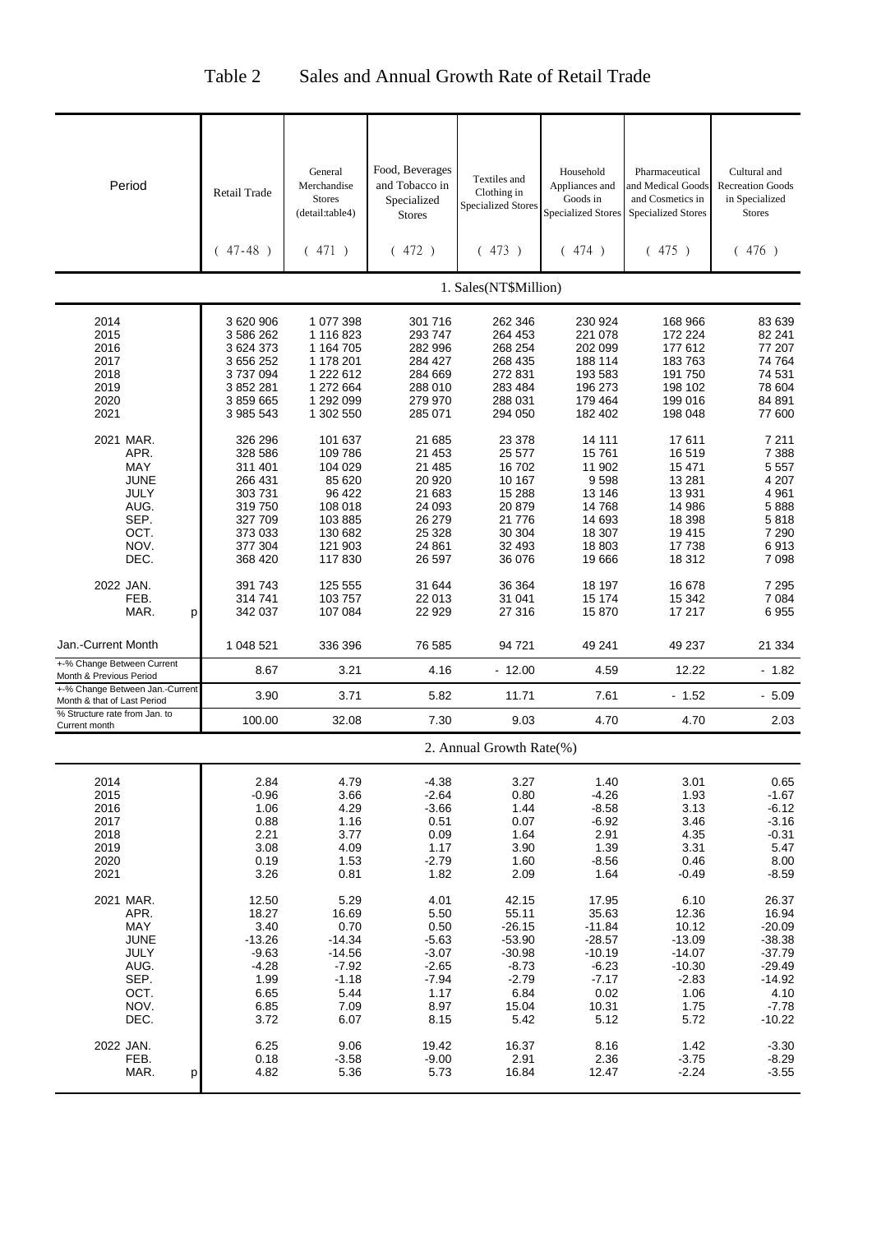| Period                                                                                  | Retail Trade<br>$47 - 48$ )                                                              | General<br>Merchandise<br><b>Stores</b><br>(detail:table4)<br>471)                          | Food, Beverages<br>and Tobacco in<br>Specialized<br><b>Stores</b><br>(472)               | Textiles and<br>Clothing in<br><b>Specialized Stores</b><br>(473)                                 | Household<br>Appliances and<br>Goods in<br><b>Specialized Stores</b><br>474)<br>(                 | Pharmaceutical<br>and Medical Goods<br>and Cosmetics in<br><b>Specialized Stores</b><br>(475) | Cultural and<br><b>Recreation Goods</b><br>in Specialized<br><b>Stores</b><br>(476)                       |
|-----------------------------------------------------------------------------------------|------------------------------------------------------------------------------------------|---------------------------------------------------------------------------------------------|------------------------------------------------------------------------------------------|---------------------------------------------------------------------------------------------------|---------------------------------------------------------------------------------------------------|-----------------------------------------------------------------------------------------------|-----------------------------------------------------------------------------------------------------------|
|                                                                                         |                                                                                          |                                                                                             |                                                                                          | 1. Sales(NT\$Million)                                                                             |                                                                                                   |                                                                                               |                                                                                                           |
| 2014<br>2015<br>2016<br>2017<br>2018<br>2019<br>2020                                    | 3 620 906<br>3 586 262<br>3 624 373<br>3 656 252<br>3737094<br>3 852 281<br>3859665      | 1 077 398<br>1 116 823<br>1 164 705<br>1 178 201<br>1 222 612<br>1 272 664<br>1 292 099     | 301 716<br>293 747<br>282 996<br>284 427<br>284 669<br>288 010<br>279 970                | 262 346<br>264 453<br>268 254<br>268 435<br>272 831<br>283 484<br>288 031                         | 230 924<br>221 078<br>202 099<br>188 114<br>193 583<br>196 273<br>179 464                         | 168 966<br>172 224<br>177 612<br>183763<br>191 750<br>198 102<br>199 016                      | 83 639<br>82 241<br>77 207<br>74 764<br>74 531<br>78 604<br>84 891                                        |
| 2021<br>2021 MAR.<br>APR.<br>MAY<br>JUNE                                                | 3 985 543<br>326 296<br>328 586<br>311 401<br>266 431                                    | 1 302 550<br>101 637<br>109 786<br>104 029<br>85 620                                        | 285 071<br>21 685<br>21 453<br>21 485<br>20 920                                          | 294 050<br>23 378<br>25 577<br>16 702<br>10 167                                                   | 182 402<br>14 111<br>15761<br>11 902<br>9598                                                      | 198 048<br>17611<br>16 519<br>15 471<br>13 2 8 1                                              | 77 600<br>7 2 1 1<br>7 3 8 8<br>5 5 5 7<br>4 207                                                          |
| JULY<br>AUG.<br>SEP.<br>OCT.<br>NOV.<br>DEC.                                            | 303731<br>319750<br>327 709<br>373 033<br>377 304<br>368 420                             | 96 422<br>108 018<br>103 885<br>130 682<br>121 903<br>117830                                | 21 683<br>24 093<br>26 279<br>25 328<br>24 861<br>26 597                                 | 15 288<br>20 879<br>21 776<br>30 304<br>32 493<br>36 076                                          | 13 146<br>14768<br>14 693<br>18 307<br>18 803<br>19666                                            | 13 931<br>14 986<br>18 398<br>19 4 15<br>17 738<br>18 3 12                                    | 4 9 61<br>5888<br>5818<br>7 2 9 0<br>6913<br>7 0 9 8                                                      |
| 2022 JAN.<br>FEB.<br>MAR.<br>р                                                          | 391 743<br>314741<br>342 037                                                             | 125 555<br>103 757<br>107 084                                                               | 31 644<br>22 013<br>22 929                                                               | 36 364<br>31 041<br>27 316                                                                        | 18 197<br>15 174<br>15870                                                                         | 16 678<br>15 342<br>17 217                                                                    | 7 2 9 5<br>7 0 8 4<br>6955                                                                                |
| Jan.-Current Month                                                                      | 1 048 521                                                                                | 336 396                                                                                     | 76 585                                                                                   | 94 721                                                                                            | 49 241                                                                                            | 49 237                                                                                        | 21 334                                                                                                    |
| +-% Change Between Current<br>Month & Previous Period                                   | 8.67                                                                                     | 3.21                                                                                        | 4.16                                                                                     | $-12.00$                                                                                          | 4.59                                                                                              | 12.22                                                                                         | $-1.82$                                                                                                   |
| +-% Change Between Jan.-Current<br>Month & that of Last Period                          | 3.90                                                                                     | 3.71                                                                                        | 5.82                                                                                     | 11.71                                                                                             | 7.61                                                                                              | $-1.52$                                                                                       | $-5.09$                                                                                                   |
| % Structure rate from Jan. to<br>Current month                                          | 100.00                                                                                   | 32.08                                                                                       | 7.30                                                                                     | 9.03                                                                                              | 4.70                                                                                              | 4.70                                                                                          | 2.03                                                                                                      |
|                                                                                         |                                                                                          |                                                                                             |                                                                                          | 2. Annual Growth Rate(%)                                                                          |                                                                                                   |                                                                                               |                                                                                                           |
| 2014<br>2015<br>2016<br>2017<br>2018<br>2019<br>2020<br>2021                            | 2.84<br>$-0.96$<br>1.06<br>0.88<br>2.21<br>3.08<br>0.19<br>3.26                          | 4.79<br>3.66<br>4.29<br>1.16<br>3.77<br>4.09<br>1.53<br>0.81                                | $-4.38$<br>$-2.64$<br>$-3.66$<br>0.51<br>0.09<br>1.17<br>$-2.79$<br>1.82                 | 3.27<br>0.80<br>1.44<br>0.07<br>1.64<br>3.90<br>1.60<br>2.09                                      | 1.40<br>$-4.26$<br>$-8.58$<br>$-6.92$<br>2.91<br>1.39<br>$-8.56$<br>1.64                          | 3.01<br>1.93<br>3.13<br>3.46<br>4.35<br>3.31<br>0.46<br>$-0.49$                               | 0.65<br>$-1.67$<br>$-6.12$<br>$-3.16$<br>$-0.31$<br>5.47<br>8.00<br>$-8.59$                               |
| 2021 MAR.<br>APR.<br>MAY<br><b>JUNE</b><br>JULY<br>AUG.<br>SEP.<br>OCT.<br>NOV.<br>DEC. | 12.50<br>18.27<br>3.40<br>$-13.26$<br>$-9.63$<br>$-4.28$<br>1.99<br>6.65<br>6.85<br>3.72 | 5.29<br>16.69<br>0.70<br>$-14.34$<br>$-14.56$<br>$-7.92$<br>$-1.18$<br>5.44<br>7.09<br>6.07 | 4.01<br>5.50<br>0.50<br>$-5.63$<br>$-3.07$<br>$-2.65$<br>$-7.94$<br>1.17<br>8.97<br>8.15 | 42.15<br>55.11<br>$-26.15$<br>$-53.90$<br>$-30.98$<br>$-8.73$<br>$-2.79$<br>6.84<br>15.04<br>5.42 | 17.95<br>35.63<br>$-11.84$<br>$-28.57$<br>$-10.19$<br>$-6.23$<br>$-7.17$<br>0.02<br>10.31<br>5.12 | 6.10<br>12.36<br>10.12<br>$-13.09$<br>$-14.07$<br>$-10.30$<br>$-2.83$<br>1.06<br>1.75<br>5.72 | 26.37<br>16.94<br>$-20.09$<br>$-38.38$<br>$-37.79$<br>$-29.49$<br>$-14.92$<br>4.10<br>$-7.78$<br>$-10.22$ |
| 2022 JAN.<br>FEB.<br>MAR.<br>р                                                          | 6.25<br>0.18<br>4.82                                                                     | 9.06<br>$-3.58$<br>5.36                                                                     | 19.42<br>$-9.00$<br>5.73                                                                 | 16.37<br>2.91<br>16.84                                                                            | 8.16<br>2.36<br>12.47                                                                             | 1.42<br>$-3.75$<br>$-2.24$                                                                    | $-3.30$<br>$-8.29$<br>$-3.55$                                                                             |

### Table 2 Sales and Annual Growth Rate of Retail Trade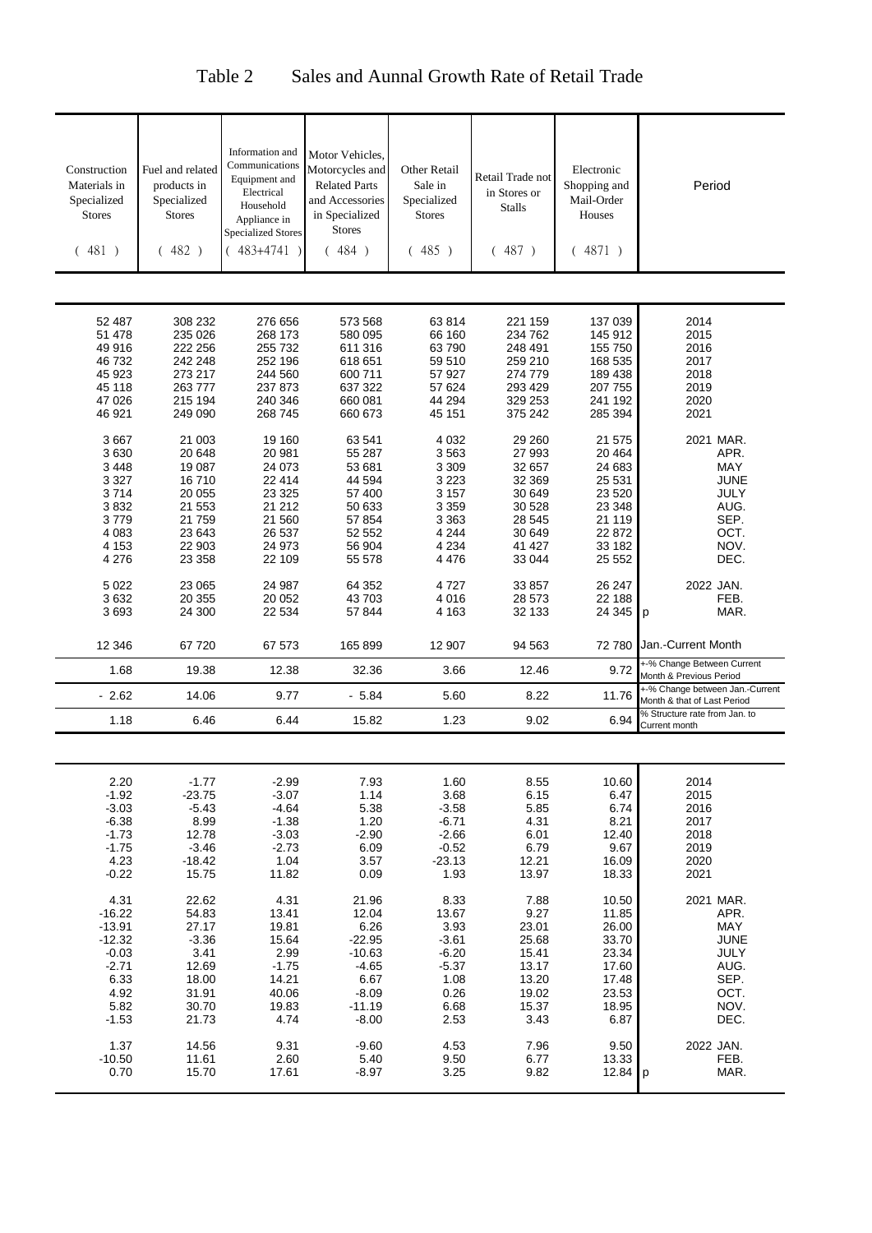| Construction<br>Materials in<br>Specialized<br><b>Stores</b> | Fuel and related<br>products in<br>Specialized<br><b>Stores</b> | Information and<br>Communications<br>Equipment and<br>Electrical<br>Household<br>Appliance in<br><b>Specialized Stores</b> | Motor Vehicles,<br>Motorcycles and<br><b>Related Parts</b><br>and Accessories<br>in Specialized<br><b>Stores</b> | Other Retail<br>Sale in<br>Specialized<br><b>Stores</b> | Retail Trade not<br>in Stores or<br><b>Stalls</b> | Electronic<br>Shopping and<br>Mail-Order<br><b>Houses</b> | Period                                                       |
|--------------------------------------------------------------|-----------------------------------------------------------------|----------------------------------------------------------------------------------------------------------------------------|------------------------------------------------------------------------------------------------------------------|---------------------------------------------------------|---------------------------------------------------|-----------------------------------------------------------|--------------------------------------------------------------|
| (481)                                                        | (482)                                                           | 483+4741                                                                                                                   | (484)                                                                                                            | (485)                                                   | (487)                                             | (4871)                                                    |                                                              |
|                                                              |                                                                 |                                                                                                                            |                                                                                                                  |                                                         |                                                   |                                                           |                                                              |
|                                                              |                                                                 |                                                                                                                            |                                                                                                                  |                                                         |                                                   |                                                           |                                                              |
|                                                              |                                                                 |                                                                                                                            |                                                                                                                  |                                                         |                                                   |                                                           |                                                              |
| 52 487<br>51 478                                             | 308 232<br>235 026                                              | 276 656<br>268 173                                                                                                         | 573 568<br>580 095                                                                                               | 63814<br>66 160                                         | 221 159<br>234 762                                | 137 039<br>145 912                                        | 2014<br>2015                                                 |
| 49 916                                                       | 222 256                                                         | 255 732                                                                                                                    | 611 316                                                                                                          | 63790                                                   | 248 491                                           | 155 750                                                   | 2016                                                         |
| 46 732                                                       | 242 248                                                         | 252 196                                                                                                                    | 618 651                                                                                                          | 59 510                                                  | 259 210                                           | 168 535                                                   | 2017                                                         |
| 45 923                                                       | 273 217                                                         | 244 560                                                                                                                    | 600 711                                                                                                          | 57 927                                                  | 274 779                                           | 189 438                                                   | 2018                                                         |
| 45 118                                                       | 263777                                                          | 237 873                                                                                                                    | 637 322                                                                                                          | 57 624                                                  | 293 429                                           | 207 755                                                   | 2019                                                         |
| 47 0 26                                                      | 215 194                                                         | 240 346                                                                                                                    | 660 081                                                                                                          | 44 294                                                  | 329 253                                           | 241 192                                                   | 2020                                                         |
| 46 921                                                       | 249 090                                                         | 268 745                                                                                                                    | 660 673                                                                                                          | 45 151                                                  | 375 242                                           | 285 394                                                   | 2021                                                         |
|                                                              |                                                                 |                                                                                                                            |                                                                                                                  |                                                         |                                                   |                                                           |                                                              |
| 3667                                                         | 21 003                                                          | 19 160                                                                                                                     | 63 541                                                                                                           | 4 0 3 2                                                 | 29 260                                            | 21 575                                                    | 2021 MAR.                                                    |
| 3630                                                         | 20 648                                                          | 20 981                                                                                                                     | 55 287                                                                                                           | 3563                                                    | 27 993                                            | 20 4 64                                                   | APR.                                                         |
| 3 4 4 8                                                      | 19 087                                                          | 24 073                                                                                                                     | 53 681                                                                                                           | 3 309                                                   | 32 657                                            | 24 683                                                    | <b>MAY</b>                                                   |
| 3 3 2 7                                                      | 16710                                                           | 22 414                                                                                                                     | 44 594                                                                                                           | 3 2 2 3                                                 | 32 369                                            | 25 531                                                    | <b>JUNE</b>                                                  |
| 3714                                                         | 20 055                                                          | 23 3 25                                                                                                                    | 57 400                                                                                                           | 3 157                                                   | 30 649                                            | 23 5 20                                                   | JULY                                                         |
| 3832                                                         | 21 553                                                          | 21 21 2                                                                                                                    | 50 633                                                                                                           | 3 3 5 9                                                 | 30 528                                            | 23 348                                                    | AUG.                                                         |
| 3779                                                         | 21759                                                           | 21 560                                                                                                                     | 57 854                                                                                                           | 3 363                                                   | 28 545                                            | 21 119                                                    | SEP.                                                         |
| 4 0 8 3                                                      | 23 643                                                          | 26 537                                                                                                                     | 52 552                                                                                                           | 4 2 4 4                                                 | 30 649                                            | 22 872                                                    | OCT.                                                         |
| 4 1 5 3                                                      | 22 903                                                          | 24 973                                                                                                                     | 56 904                                                                                                           | 4 2 3 4                                                 | 41 427                                            | 33 182                                                    | NOV.                                                         |
| 4 2 7 6                                                      | 23 358                                                          | 22 109                                                                                                                     | 55 578                                                                                                           | 4 4 7 6                                                 | 33 044                                            | 25 552                                                    | DEC.                                                         |
| 5 0 2 2                                                      | 23 065                                                          | 24 987                                                                                                                     | 64 352                                                                                                           | 4727                                                    | 33 857                                            | 26 247                                                    | 2022 JAN.                                                    |
| 3632                                                         | 20 355                                                          | 20 052                                                                                                                     | 43 703                                                                                                           | 4016                                                    | 28 573                                            | 22 188                                                    | FEB.                                                         |
| 3693                                                         | 24 300                                                          | 22 534                                                                                                                     | 57 844                                                                                                           | 4 1 6 3                                                 | 32 133                                            | 24 345                                                    | MAR.<br>p                                                    |
|                                                              |                                                                 |                                                                                                                            |                                                                                                                  |                                                         |                                                   |                                                           |                                                              |
| 12 346                                                       | 67720                                                           | 67 573                                                                                                                     | 165 899                                                                                                          | 12 907                                                  | 94 563                                            | 72 780                                                    | Jan.-Current Month                                           |
| 1.68                                                         | 19.38                                                           | 12.38                                                                                                                      | 32.36                                                                                                            | 3.66                                                    | 12.46                                             | 9.72                                                      | +-% Change Between Current                                   |
| $-2.62$                                                      | 14.06                                                           | 9.77                                                                                                                       | $-5.84$                                                                                                          | 5.60                                                    | 8.22                                              | 11.76                                                     | Month & Previous Period<br>+-% Change between Jan.-Current   |
|                                                              |                                                                 |                                                                                                                            |                                                                                                                  |                                                         |                                                   |                                                           | Month & that of Last Period<br>% Structure rate from Jan. to |
| 1.18                                                         | 6.46                                                            | 6.44                                                                                                                       | 15.82                                                                                                            | 1.23                                                    | 9.02                                              | 6.94                                                      | Current month                                                |
|                                                              |                                                                 |                                                                                                                            |                                                                                                                  |                                                         |                                                   |                                                           |                                                              |
|                                                              |                                                                 |                                                                                                                            |                                                                                                                  |                                                         |                                                   |                                                           |                                                              |
| 2.20                                                         | $-1.77$                                                         | $-2.99$                                                                                                                    | 7.93                                                                                                             | 1.60                                                    | 8.55                                              | 10.60                                                     | 2014                                                         |
| $-1.92$                                                      | $-23.75$                                                        | $-3.07$                                                                                                                    | 1.14                                                                                                             | 3.68                                                    | 6.15                                              | 6.47                                                      | 2015                                                         |
| $-3.03$                                                      | $-5.43$<br>8.99                                                 | $-4.64$<br>$-1.38$                                                                                                         | 5.38<br>1.20                                                                                                     | $-3.58$<br>$-6.71$                                      | 5.85<br>4.31                                      | 6.74<br>8.21                                              | 2016<br>2017                                                 |
| $-6.38$<br>$-1.73$                                           | 12.78                                                           | $-3.03$                                                                                                                    | $-2.90$                                                                                                          | $-2.66$                                                 | 6.01                                              | 12.40                                                     | 2018                                                         |
| $-1.75$                                                      | $-3.46$                                                         | $-2.73$                                                                                                                    | 6.09                                                                                                             | $-0.52$                                                 | 6.79                                              | 9.67                                                      | 2019                                                         |
| 4.23                                                         | $-18.42$                                                        | 1.04                                                                                                                       | 3.57                                                                                                             | $-23.13$                                                | 12.21                                             | 16.09                                                     | 2020                                                         |
| $-0.22$                                                      | 15.75                                                           | 11.82                                                                                                                      | 0.09                                                                                                             | 1.93                                                    | 13.97                                             | 18.33                                                     | 2021                                                         |
|                                                              |                                                                 |                                                                                                                            |                                                                                                                  |                                                         |                                                   |                                                           |                                                              |
| 4.31                                                         | 22.62                                                           | 4.31                                                                                                                       | 21.96                                                                                                            | 8.33                                                    | 7.88                                              | 10.50                                                     | 2021 MAR.                                                    |
| $-16.22$                                                     | 54.83                                                           | 13.41                                                                                                                      | 12.04                                                                                                            | 13.67                                                   | 9.27                                              | 11.85                                                     | APR.                                                         |
| $-13.91$                                                     | 27.17                                                           | 19.81                                                                                                                      | 6.26                                                                                                             | 3.93                                                    | 23.01                                             | 26.00                                                     | MAY                                                          |
| $-12.32$                                                     | $-3.36$                                                         | 15.64                                                                                                                      | $-22.95$                                                                                                         | $-3.61$                                                 | 25.68                                             | 33.70                                                     | <b>JUNE</b>                                                  |
| $-0.03$                                                      | 3.41                                                            | 2.99                                                                                                                       | $-10.63$                                                                                                         | $-6.20$                                                 | 15.41                                             | 23.34                                                     | JULY                                                         |
| $-2.71$                                                      | 12.69                                                           | $-1.75$                                                                                                                    | $-4.65$                                                                                                          | $-5.37$                                                 | 13.17                                             | 17.60                                                     | AUG.                                                         |
| 6.33<br>4.92                                                 | 18.00<br>31.91                                                  | 14.21<br>40.06                                                                                                             | 6.67<br>$-8.09$                                                                                                  | 1.08<br>0.26                                            | 13.20<br>19.02                                    | 17.48<br>23.53                                            | SEP.<br>OCT.                                                 |
| 5.82                                                         | 30.70                                                           | 19.83                                                                                                                      | $-11.19$                                                                                                         | 6.68                                                    | 15.37                                             | 18.95                                                     | NOV.                                                         |
| $-1.53$                                                      | 21.73                                                           | 4.74                                                                                                                       | $-8.00$                                                                                                          | 2.53                                                    | 3.43                                              | 6.87                                                      | DEC.                                                         |
|                                                              |                                                                 |                                                                                                                            |                                                                                                                  |                                                         |                                                   |                                                           |                                                              |
| 1.37                                                         | 14.56                                                           | 9.31                                                                                                                       | $-9.60$                                                                                                          | 4.53                                                    | 7.96                                              | 9.50                                                      | 2022 JAN.                                                    |
| $-10.50$                                                     | 11.61                                                           | 2.60                                                                                                                       | 5.40                                                                                                             | 9.50                                                    | 6.77                                              | 13.33                                                     | FEB.                                                         |
| 0.70                                                         | 15.70                                                           | 17.61                                                                                                                      | $-8.97$                                                                                                          | 3.25                                                    | 9.82                                              | 12.84                                                     | MAR.<br>p                                                    |
|                                                              |                                                                 |                                                                                                                            |                                                                                                                  |                                                         |                                                   |                                                           |                                                              |

### Table 2 Sales and Aunnal Growth Rate of Retail Trade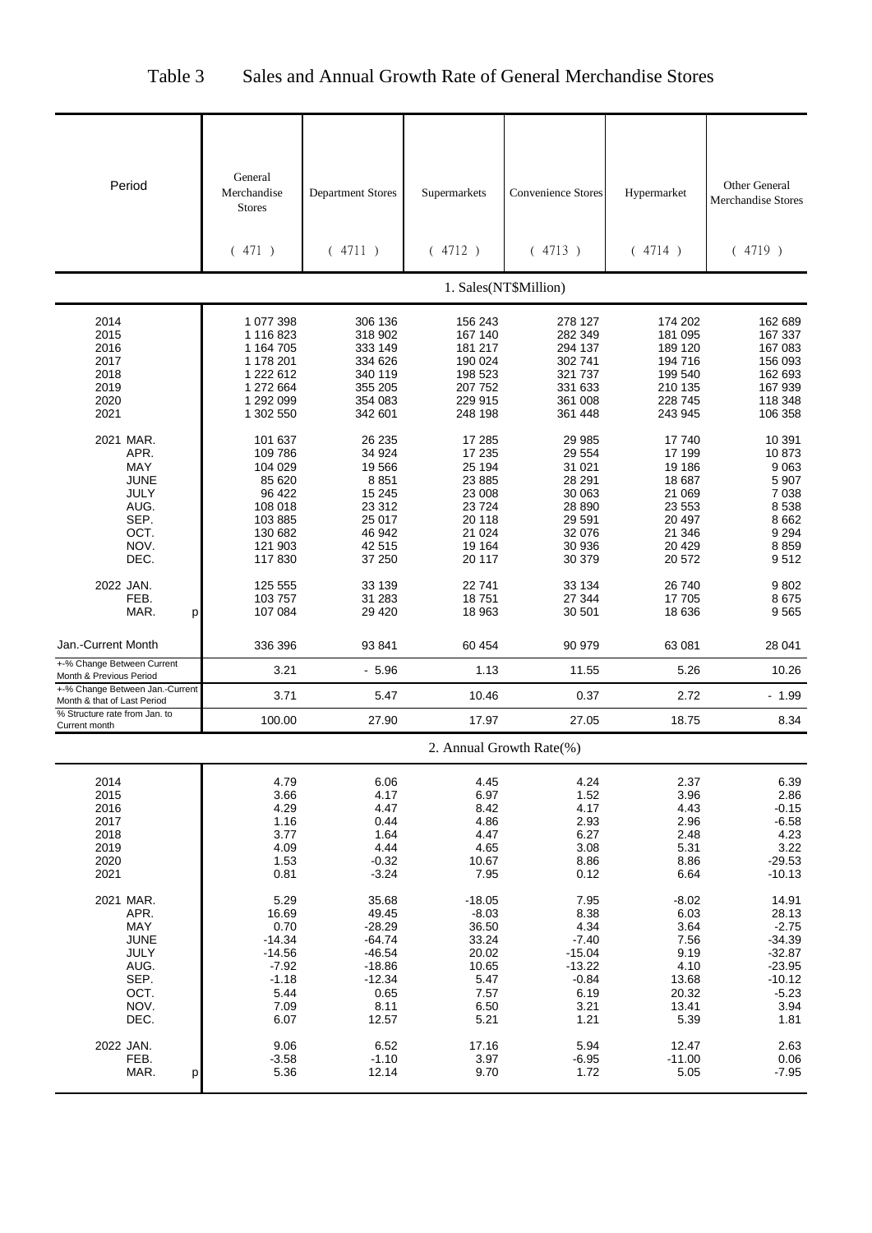| Table 3 |  |  | Sales and Annual Growth Rate of General Merchandise Stores |  |
|---------|--|--|------------------------------------------------------------|--|
|---------|--|--|------------------------------------------------------------|--|

| General<br>Period<br><b>Other General</b><br>Merchandise<br><b>Convenience Stores</b><br><b>Department Stores</b><br>Hypermarket<br>Supermarkets<br>Merchandise Stores<br><b>Stores</b><br>(471)<br>(4713)<br>(4714)<br>(4719)<br>(4711)<br>(4712)<br>1. Sales(NT\$Million)<br>2014<br>1 077 398<br>306 136<br>156 243<br>278 127<br>174 202<br>162 689<br>2015<br>181 095<br>1 116 823<br>318 902<br>167 140<br>282 349<br>167 337<br>294 137<br>2016<br>1 164 705<br>333 149<br>181 217<br>189 120<br>167 083<br>2017<br>1 178 201<br>334 626<br>190 024<br>302 741<br>194 716<br>156 093<br>2018<br>198 523<br>321 737<br>199 540<br>162 693<br>1 222 612<br>340 119<br>2019<br>331 633<br>167 939<br>1 272 664<br>355 205<br>207 752<br>210 135<br>2020<br>1 292 099<br>354 083<br>229 915<br>361 008<br>228 745<br>118 348<br>2021<br>1 302 550<br>342 601<br>248 198<br>361 448<br>243 945<br>106 358<br>2021 MAR.<br>26 235<br>17 285<br>10 391<br>101 637<br>29 985<br>17 740<br>APR.<br>34 924<br>17 235<br>29 554<br>17 199<br>10873<br>109 786<br>MAY<br>19 566<br>25 194<br>31 021<br>19 186<br>104 029<br>9063<br><b>JUNE</b><br>85 620<br>8851<br>23 8 85<br>28 291<br>18 687<br>5 9 0 7<br><b>JULY</b><br>96 422<br>15 245<br>30 063<br>21 069<br>7038<br>23 008<br>AUG.<br>108 018<br>23 312<br>23 553<br>8538<br>23724<br>28 890<br>SEP.<br>25 017<br>20 118<br>29 591<br>20 497<br>8662<br>103 885<br>OCT.<br>130 682<br>46 942<br>21 0 24<br>32 076<br>21 346<br>9 2 9 4<br>NOV.<br>42 515<br>19 164<br>30 936<br>20 4 29<br>8859<br>121 903<br>DEC.<br>37 250<br>20 572<br>117830<br>20 117<br>30 379<br>9512<br>2022 JAN.<br>125 555<br>33 139<br>22 741<br>33 134<br>9802<br>26 740<br>17 705<br>FEB.<br>103 757<br>31 283<br>18751<br>27 344<br>8675<br>MAR.<br>107 084<br>29 4 20<br>18 963<br>30 501<br>18 636<br>9565<br>p<br>336 396<br>93 841<br>60 454<br>90 979<br>63 081<br>28 041<br>3.21<br>$-5.96$<br>1.13<br>11.55<br>5.26<br>10.26<br>+-% Change Between Jan.-Current<br>3.71<br>5.47<br>10.46<br>0.37<br>2.72<br>$-1.99$<br>100.00<br>27.90<br>17.97<br>27.05<br>18.75<br>8.34<br>Current month<br>2. Annual Growth Rate(%)<br>2014<br>4.79<br>6.06<br>4.24<br>4.45<br>2.37<br>6.39<br>2015<br>6.97<br>3.96<br>3.66<br>4.17<br>1.52<br>2.86<br>2016<br>4.47<br>8.42<br>4.17<br>4.43<br>$-0.15$<br>4.29<br>2017<br>4.86<br>2.93<br>2.96<br>1.16<br>0.44<br>$-6.58$<br>2018<br>1.64<br>4.47<br>3.77<br>6.27<br>2.48<br>4.23<br>2019<br>4.09<br>4.44<br>5.31<br>3.22<br>4.65<br>3.08<br>2020<br>$-0.32$<br>8.86<br>8.86<br>$-29.53$<br>1.53<br>10.67<br>2021<br>$-3.24$<br>7.95<br>0.12<br>0.81<br>6.64<br>$-10.13$<br>2021 MAR.<br>5.29<br>35.68<br>$-18.05$<br>7.95<br>$-8.02$<br>14.91<br>16.69<br>49.45<br>$-8.03$<br>8.38<br>6.03<br>APR.<br>28.13<br>MAY<br>0.70<br>$-28.29$<br>36.50<br>4.34<br>3.64<br>$-2.75$<br><b>JUNE</b><br>$-14.34$<br>$-64.74$<br>33.24<br>$-7.40$<br>7.56<br>$-34.39$<br>JULY<br>20.02<br>$-14.56$<br>$-46.54$<br>$-15.04$<br>9.19<br>$-32.87$<br>AUG.<br>$-18.86$<br>10.65<br>$-13.22$<br>4.10<br>$-7.92$<br>$-23.95$<br>SEP.<br>$-12.34$<br>5.47<br>$-0.84$<br>$-1.18$<br>13.68<br>$-10.12$<br>OCT.<br>5.44<br>0.65<br>7.57<br>$-5.23$<br>6.19<br>20.32<br>NOV.<br>7.09<br>8.11<br>3.94<br>6.50<br>3.21<br>13.41<br>DEC.<br>6.07<br>12.57<br>5.21<br>5.39<br>1.21<br>1.81<br>2022 JAN.<br>17.16<br>9.06<br>6.52<br>5.94<br>12.47<br>2.63<br>FEB.<br>$-1.10$<br>3.97<br>$-6.95$<br>$-11.00$<br>0.06<br>$-3.58$<br>9.70<br>12.14<br>5.05<br>MAR.<br>5.36<br>1.72<br>$-7.95$<br>p |                               |  |  |  |
|----------------------------------------------------------------------------------------------------------------------------------------------------------------------------------------------------------------------------------------------------------------------------------------------------------------------------------------------------------------------------------------------------------------------------------------------------------------------------------------------------------------------------------------------------------------------------------------------------------------------------------------------------------------------------------------------------------------------------------------------------------------------------------------------------------------------------------------------------------------------------------------------------------------------------------------------------------------------------------------------------------------------------------------------------------------------------------------------------------------------------------------------------------------------------------------------------------------------------------------------------------------------------------------------------------------------------------------------------------------------------------------------------------------------------------------------------------------------------------------------------------------------------------------------------------------------------------------------------------------------------------------------------------------------------------------------------------------------------------------------------------------------------------------------------------------------------------------------------------------------------------------------------------------------------------------------------------------------------------------------------------------------------------------------------------------------------------------------------------------------------------------------------------------------------------------------------------------------------------------------------------------------------------------------------------------------------------------------------------------------------------------------------------------------------------------------------------------------------------------------------------------------------------------------------------------------------------------------------------------------------------------------------------------------------------------------------------------------------------------------------------------------------------------------------------------------------------------------------------------------------------------------------------------------------------------------------------------------------------------------------------------------------------------------------------------------------------------------------------------------------------------------------------------------------------------------------------------------------------------------------------------------------------------------------------------------------------------------------------------------------------------------------------------------------------------------------------------------------------------------------------------------------------------------------|-------------------------------|--|--|--|
|                                                                                                                                                                                                                                                                                                                                                                                                                                                                                                                                                                                                                                                                                                                                                                                                                                                                                                                                                                                                                                                                                                                                                                                                                                                                                                                                                                                                                                                                                                                                                                                                                                                                                                                                                                                                                                                                                                                                                                                                                                                                                                                                                                                                                                                                                                                                                                                                                                                                                                                                                                                                                                                                                                                                                                                                                                                                                                                                                                                                                                                                                                                                                                                                                                                                                                                                                                                                                                                                                                                                                    |                               |  |  |  |
|                                                                                                                                                                                                                                                                                                                                                                                                                                                                                                                                                                                                                                                                                                                                                                                                                                                                                                                                                                                                                                                                                                                                                                                                                                                                                                                                                                                                                                                                                                                                                                                                                                                                                                                                                                                                                                                                                                                                                                                                                                                                                                                                                                                                                                                                                                                                                                                                                                                                                                                                                                                                                                                                                                                                                                                                                                                                                                                                                                                                                                                                                                                                                                                                                                                                                                                                                                                                                                                                                                                                                    |                               |  |  |  |
|                                                                                                                                                                                                                                                                                                                                                                                                                                                                                                                                                                                                                                                                                                                                                                                                                                                                                                                                                                                                                                                                                                                                                                                                                                                                                                                                                                                                                                                                                                                                                                                                                                                                                                                                                                                                                                                                                                                                                                                                                                                                                                                                                                                                                                                                                                                                                                                                                                                                                                                                                                                                                                                                                                                                                                                                                                                                                                                                                                                                                                                                                                                                                                                                                                                                                                                                                                                                                                                                                                                                                    |                               |  |  |  |
|                                                                                                                                                                                                                                                                                                                                                                                                                                                                                                                                                                                                                                                                                                                                                                                                                                                                                                                                                                                                                                                                                                                                                                                                                                                                                                                                                                                                                                                                                                                                                                                                                                                                                                                                                                                                                                                                                                                                                                                                                                                                                                                                                                                                                                                                                                                                                                                                                                                                                                                                                                                                                                                                                                                                                                                                                                                                                                                                                                                                                                                                                                                                                                                                                                                                                                                                                                                                                                                                                                                                                    |                               |  |  |  |
|                                                                                                                                                                                                                                                                                                                                                                                                                                                                                                                                                                                                                                                                                                                                                                                                                                                                                                                                                                                                                                                                                                                                                                                                                                                                                                                                                                                                                                                                                                                                                                                                                                                                                                                                                                                                                                                                                                                                                                                                                                                                                                                                                                                                                                                                                                                                                                                                                                                                                                                                                                                                                                                                                                                                                                                                                                                                                                                                                                                                                                                                                                                                                                                                                                                                                                                                                                                                                                                                                                                                                    |                               |  |  |  |
|                                                                                                                                                                                                                                                                                                                                                                                                                                                                                                                                                                                                                                                                                                                                                                                                                                                                                                                                                                                                                                                                                                                                                                                                                                                                                                                                                                                                                                                                                                                                                                                                                                                                                                                                                                                                                                                                                                                                                                                                                                                                                                                                                                                                                                                                                                                                                                                                                                                                                                                                                                                                                                                                                                                                                                                                                                                                                                                                                                                                                                                                                                                                                                                                                                                                                                                                                                                                                                                                                                                                                    |                               |  |  |  |
|                                                                                                                                                                                                                                                                                                                                                                                                                                                                                                                                                                                                                                                                                                                                                                                                                                                                                                                                                                                                                                                                                                                                                                                                                                                                                                                                                                                                                                                                                                                                                                                                                                                                                                                                                                                                                                                                                                                                                                                                                                                                                                                                                                                                                                                                                                                                                                                                                                                                                                                                                                                                                                                                                                                                                                                                                                                                                                                                                                                                                                                                                                                                                                                                                                                                                                                                                                                                                                                                                                                                                    |                               |  |  |  |
|                                                                                                                                                                                                                                                                                                                                                                                                                                                                                                                                                                                                                                                                                                                                                                                                                                                                                                                                                                                                                                                                                                                                                                                                                                                                                                                                                                                                                                                                                                                                                                                                                                                                                                                                                                                                                                                                                                                                                                                                                                                                                                                                                                                                                                                                                                                                                                                                                                                                                                                                                                                                                                                                                                                                                                                                                                                                                                                                                                                                                                                                                                                                                                                                                                                                                                                                                                                                                                                                                                                                                    |                               |  |  |  |
|                                                                                                                                                                                                                                                                                                                                                                                                                                                                                                                                                                                                                                                                                                                                                                                                                                                                                                                                                                                                                                                                                                                                                                                                                                                                                                                                                                                                                                                                                                                                                                                                                                                                                                                                                                                                                                                                                                                                                                                                                                                                                                                                                                                                                                                                                                                                                                                                                                                                                                                                                                                                                                                                                                                                                                                                                                                                                                                                                                                                                                                                                                                                                                                                                                                                                                                                                                                                                                                                                                                                                    |                               |  |  |  |
|                                                                                                                                                                                                                                                                                                                                                                                                                                                                                                                                                                                                                                                                                                                                                                                                                                                                                                                                                                                                                                                                                                                                                                                                                                                                                                                                                                                                                                                                                                                                                                                                                                                                                                                                                                                                                                                                                                                                                                                                                                                                                                                                                                                                                                                                                                                                                                                                                                                                                                                                                                                                                                                                                                                                                                                                                                                                                                                                                                                                                                                                                                                                                                                                                                                                                                                                                                                                                                                                                                                                                    |                               |  |  |  |
|                                                                                                                                                                                                                                                                                                                                                                                                                                                                                                                                                                                                                                                                                                                                                                                                                                                                                                                                                                                                                                                                                                                                                                                                                                                                                                                                                                                                                                                                                                                                                                                                                                                                                                                                                                                                                                                                                                                                                                                                                                                                                                                                                                                                                                                                                                                                                                                                                                                                                                                                                                                                                                                                                                                                                                                                                                                                                                                                                                                                                                                                                                                                                                                                                                                                                                                                                                                                                                                                                                                                                    |                               |  |  |  |
|                                                                                                                                                                                                                                                                                                                                                                                                                                                                                                                                                                                                                                                                                                                                                                                                                                                                                                                                                                                                                                                                                                                                                                                                                                                                                                                                                                                                                                                                                                                                                                                                                                                                                                                                                                                                                                                                                                                                                                                                                                                                                                                                                                                                                                                                                                                                                                                                                                                                                                                                                                                                                                                                                                                                                                                                                                                                                                                                                                                                                                                                                                                                                                                                                                                                                                                                                                                                                                                                                                                                                    |                               |  |  |  |
|                                                                                                                                                                                                                                                                                                                                                                                                                                                                                                                                                                                                                                                                                                                                                                                                                                                                                                                                                                                                                                                                                                                                                                                                                                                                                                                                                                                                                                                                                                                                                                                                                                                                                                                                                                                                                                                                                                                                                                                                                                                                                                                                                                                                                                                                                                                                                                                                                                                                                                                                                                                                                                                                                                                                                                                                                                                                                                                                                                                                                                                                                                                                                                                                                                                                                                                                                                                                                                                                                                                                                    |                               |  |  |  |
|                                                                                                                                                                                                                                                                                                                                                                                                                                                                                                                                                                                                                                                                                                                                                                                                                                                                                                                                                                                                                                                                                                                                                                                                                                                                                                                                                                                                                                                                                                                                                                                                                                                                                                                                                                                                                                                                                                                                                                                                                                                                                                                                                                                                                                                                                                                                                                                                                                                                                                                                                                                                                                                                                                                                                                                                                                                                                                                                                                                                                                                                                                                                                                                                                                                                                                                                                                                                                                                                                                                                                    |                               |  |  |  |
|                                                                                                                                                                                                                                                                                                                                                                                                                                                                                                                                                                                                                                                                                                                                                                                                                                                                                                                                                                                                                                                                                                                                                                                                                                                                                                                                                                                                                                                                                                                                                                                                                                                                                                                                                                                                                                                                                                                                                                                                                                                                                                                                                                                                                                                                                                                                                                                                                                                                                                                                                                                                                                                                                                                                                                                                                                                                                                                                                                                                                                                                                                                                                                                                                                                                                                                                                                                                                                                                                                                                                    |                               |  |  |  |
|                                                                                                                                                                                                                                                                                                                                                                                                                                                                                                                                                                                                                                                                                                                                                                                                                                                                                                                                                                                                                                                                                                                                                                                                                                                                                                                                                                                                                                                                                                                                                                                                                                                                                                                                                                                                                                                                                                                                                                                                                                                                                                                                                                                                                                                                                                                                                                                                                                                                                                                                                                                                                                                                                                                                                                                                                                                                                                                                                                                                                                                                                                                                                                                                                                                                                                                                                                                                                                                                                                                                                    |                               |  |  |  |
|                                                                                                                                                                                                                                                                                                                                                                                                                                                                                                                                                                                                                                                                                                                                                                                                                                                                                                                                                                                                                                                                                                                                                                                                                                                                                                                                                                                                                                                                                                                                                                                                                                                                                                                                                                                                                                                                                                                                                                                                                                                                                                                                                                                                                                                                                                                                                                                                                                                                                                                                                                                                                                                                                                                                                                                                                                                                                                                                                                                                                                                                                                                                                                                                                                                                                                                                                                                                                                                                                                                                                    |                               |  |  |  |
|                                                                                                                                                                                                                                                                                                                                                                                                                                                                                                                                                                                                                                                                                                                                                                                                                                                                                                                                                                                                                                                                                                                                                                                                                                                                                                                                                                                                                                                                                                                                                                                                                                                                                                                                                                                                                                                                                                                                                                                                                                                                                                                                                                                                                                                                                                                                                                                                                                                                                                                                                                                                                                                                                                                                                                                                                                                                                                                                                                                                                                                                                                                                                                                                                                                                                                                                                                                                                                                                                                                                                    |                               |  |  |  |
|                                                                                                                                                                                                                                                                                                                                                                                                                                                                                                                                                                                                                                                                                                                                                                                                                                                                                                                                                                                                                                                                                                                                                                                                                                                                                                                                                                                                                                                                                                                                                                                                                                                                                                                                                                                                                                                                                                                                                                                                                                                                                                                                                                                                                                                                                                                                                                                                                                                                                                                                                                                                                                                                                                                                                                                                                                                                                                                                                                                                                                                                                                                                                                                                                                                                                                                                                                                                                                                                                                                                                    |                               |  |  |  |
|                                                                                                                                                                                                                                                                                                                                                                                                                                                                                                                                                                                                                                                                                                                                                                                                                                                                                                                                                                                                                                                                                                                                                                                                                                                                                                                                                                                                                                                                                                                                                                                                                                                                                                                                                                                                                                                                                                                                                                                                                                                                                                                                                                                                                                                                                                                                                                                                                                                                                                                                                                                                                                                                                                                                                                                                                                                                                                                                                                                                                                                                                                                                                                                                                                                                                                                                                                                                                                                                                                                                                    |                               |  |  |  |
|                                                                                                                                                                                                                                                                                                                                                                                                                                                                                                                                                                                                                                                                                                                                                                                                                                                                                                                                                                                                                                                                                                                                                                                                                                                                                                                                                                                                                                                                                                                                                                                                                                                                                                                                                                                                                                                                                                                                                                                                                                                                                                                                                                                                                                                                                                                                                                                                                                                                                                                                                                                                                                                                                                                                                                                                                                                                                                                                                                                                                                                                                                                                                                                                                                                                                                                                                                                                                                                                                                                                                    |                               |  |  |  |
|                                                                                                                                                                                                                                                                                                                                                                                                                                                                                                                                                                                                                                                                                                                                                                                                                                                                                                                                                                                                                                                                                                                                                                                                                                                                                                                                                                                                                                                                                                                                                                                                                                                                                                                                                                                                                                                                                                                                                                                                                                                                                                                                                                                                                                                                                                                                                                                                                                                                                                                                                                                                                                                                                                                                                                                                                                                                                                                                                                                                                                                                                                                                                                                                                                                                                                                                                                                                                                                                                                                                                    |                               |  |  |  |
|                                                                                                                                                                                                                                                                                                                                                                                                                                                                                                                                                                                                                                                                                                                                                                                                                                                                                                                                                                                                                                                                                                                                                                                                                                                                                                                                                                                                                                                                                                                                                                                                                                                                                                                                                                                                                                                                                                                                                                                                                                                                                                                                                                                                                                                                                                                                                                                                                                                                                                                                                                                                                                                                                                                                                                                                                                                                                                                                                                                                                                                                                                                                                                                                                                                                                                                                                                                                                                                                                                                                                    |                               |  |  |  |
|                                                                                                                                                                                                                                                                                                                                                                                                                                                                                                                                                                                                                                                                                                                                                                                                                                                                                                                                                                                                                                                                                                                                                                                                                                                                                                                                                                                                                                                                                                                                                                                                                                                                                                                                                                                                                                                                                                                                                                                                                                                                                                                                                                                                                                                                                                                                                                                                                                                                                                                                                                                                                                                                                                                                                                                                                                                                                                                                                                                                                                                                                                                                                                                                                                                                                                                                                                                                                                                                                                                                                    |                               |  |  |  |
|                                                                                                                                                                                                                                                                                                                                                                                                                                                                                                                                                                                                                                                                                                                                                                                                                                                                                                                                                                                                                                                                                                                                                                                                                                                                                                                                                                                                                                                                                                                                                                                                                                                                                                                                                                                                                                                                                                                                                                                                                                                                                                                                                                                                                                                                                                                                                                                                                                                                                                                                                                                                                                                                                                                                                                                                                                                                                                                                                                                                                                                                                                                                                                                                                                                                                                                                                                                                                                                                                                                                                    |                               |  |  |  |
|                                                                                                                                                                                                                                                                                                                                                                                                                                                                                                                                                                                                                                                                                                                                                                                                                                                                                                                                                                                                                                                                                                                                                                                                                                                                                                                                                                                                                                                                                                                                                                                                                                                                                                                                                                                                                                                                                                                                                                                                                                                                                                                                                                                                                                                                                                                                                                                                                                                                                                                                                                                                                                                                                                                                                                                                                                                                                                                                                                                                                                                                                                                                                                                                                                                                                                                                                                                                                                                                                                                                                    |                               |  |  |  |
|                                                                                                                                                                                                                                                                                                                                                                                                                                                                                                                                                                                                                                                                                                                                                                                                                                                                                                                                                                                                                                                                                                                                                                                                                                                                                                                                                                                                                                                                                                                                                                                                                                                                                                                                                                                                                                                                                                                                                                                                                                                                                                                                                                                                                                                                                                                                                                                                                                                                                                                                                                                                                                                                                                                                                                                                                                                                                                                                                                                                                                                                                                                                                                                                                                                                                                                                                                                                                                                                                                                                                    |                               |  |  |  |
|                                                                                                                                                                                                                                                                                                                                                                                                                                                                                                                                                                                                                                                                                                                                                                                                                                                                                                                                                                                                                                                                                                                                                                                                                                                                                                                                                                                                                                                                                                                                                                                                                                                                                                                                                                                                                                                                                                                                                                                                                                                                                                                                                                                                                                                                                                                                                                                                                                                                                                                                                                                                                                                                                                                                                                                                                                                                                                                                                                                                                                                                                                                                                                                                                                                                                                                                                                                                                                                                                                                                                    |                               |  |  |  |
|                                                                                                                                                                                                                                                                                                                                                                                                                                                                                                                                                                                                                                                                                                                                                                                                                                                                                                                                                                                                                                                                                                                                                                                                                                                                                                                                                                                                                                                                                                                                                                                                                                                                                                                                                                                                                                                                                                                                                                                                                                                                                                                                                                                                                                                                                                                                                                                                                                                                                                                                                                                                                                                                                                                                                                                                                                                                                                                                                                                                                                                                                                                                                                                                                                                                                                                                                                                                                                                                                                                                                    |                               |  |  |  |
|                                                                                                                                                                                                                                                                                                                                                                                                                                                                                                                                                                                                                                                                                                                                                                                                                                                                                                                                                                                                                                                                                                                                                                                                                                                                                                                                                                                                                                                                                                                                                                                                                                                                                                                                                                                                                                                                                                                                                                                                                                                                                                                                                                                                                                                                                                                                                                                                                                                                                                                                                                                                                                                                                                                                                                                                                                                                                                                                                                                                                                                                                                                                                                                                                                                                                                                                                                                                                                                                                                                                                    |                               |  |  |  |
|                                                                                                                                                                                                                                                                                                                                                                                                                                                                                                                                                                                                                                                                                                                                                                                                                                                                                                                                                                                                                                                                                                                                                                                                                                                                                                                                                                                                                                                                                                                                                                                                                                                                                                                                                                                                                                                                                                                                                                                                                                                                                                                                                                                                                                                                                                                                                                                                                                                                                                                                                                                                                                                                                                                                                                                                                                                                                                                                                                                                                                                                                                                                                                                                                                                                                                                                                                                                                                                                                                                                                    |                               |  |  |  |
|                                                                                                                                                                                                                                                                                                                                                                                                                                                                                                                                                                                                                                                                                                                                                                                                                                                                                                                                                                                                                                                                                                                                                                                                                                                                                                                                                                                                                                                                                                                                                                                                                                                                                                                                                                                                                                                                                                                                                                                                                                                                                                                                                                                                                                                                                                                                                                                                                                                                                                                                                                                                                                                                                                                                                                                                                                                                                                                                                                                                                                                                                                                                                                                                                                                                                                                                                                                                                                                                                                                                                    |                               |  |  |  |
|                                                                                                                                                                                                                                                                                                                                                                                                                                                                                                                                                                                                                                                                                                                                                                                                                                                                                                                                                                                                                                                                                                                                                                                                                                                                                                                                                                                                                                                                                                                                                                                                                                                                                                                                                                                                                                                                                                                                                                                                                                                                                                                                                                                                                                                                                                                                                                                                                                                                                                                                                                                                                                                                                                                                                                                                                                                                                                                                                                                                                                                                                                                                                                                                                                                                                                                                                                                                                                                                                                                                                    |                               |  |  |  |
|                                                                                                                                                                                                                                                                                                                                                                                                                                                                                                                                                                                                                                                                                                                                                                                                                                                                                                                                                                                                                                                                                                                                                                                                                                                                                                                                                                                                                                                                                                                                                                                                                                                                                                                                                                                                                                                                                                                                                                                                                                                                                                                                                                                                                                                                                                                                                                                                                                                                                                                                                                                                                                                                                                                                                                                                                                                                                                                                                                                                                                                                                                                                                                                                                                                                                                                                                                                                                                                                                                                                                    |                               |  |  |  |
|                                                                                                                                                                                                                                                                                                                                                                                                                                                                                                                                                                                                                                                                                                                                                                                                                                                                                                                                                                                                                                                                                                                                                                                                                                                                                                                                                                                                                                                                                                                                                                                                                                                                                                                                                                                                                                                                                                                                                                                                                                                                                                                                                                                                                                                                                                                                                                                                                                                                                                                                                                                                                                                                                                                                                                                                                                                                                                                                                                                                                                                                                                                                                                                                                                                                                                                                                                                                                                                                                                                                                    |                               |  |  |  |
|                                                                                                                                                                                                                                                                                                                                                                                                                                                                                                                                                                                                                                                                                                                                                                                                                                                                                                                                                                                                                                                                                                                                                                                                                                                                                                                                                                                                                                                                                                                                                                                                                                                                                                                                                                                                                                                                                                                                                                                                                                                                                                                                                                                                                                                                                                                                                                                                                                                                                                                                                                                                                                                                                                                                                                                                                                                                                                                                                                                                                                                                                                                                                                                                                                                                                                                                                                                                                                                                                                                                                    |                               |  |  |  |
|                                                                                                                                                                                                                                                                                                                                                                                                                                                                                                                                                                                                                                                                                                                                                                                                                                                                                                                                                                                                                                                                                                                                                                                                                                                                                                                                                                                                                                                                                                                                                                                                                                                                                                                                                                                                                                                                                                                                                                                                                                                                                                                                                                                                                                                                                                                                                                                                                                                                                                                                                                                                                                                                                                                                                                                                                                                                                                                                                                                                                                                                                                                                                                                                                                                                                                                                                                                                                                                                                                                                                    | Jan.-Current Month            |  |  |  |
|                                                                                                                                                                                                                                                                                                                                                                                                                                                                                                                                                                                                                                                                                                                                                                                                                                                                                                                                                                                                                                                                                                                                                                                                                                                                                                                                                                                                                                                                                                                                                                                                                                                                                                                                                                                                                                                                                                                                                                                                                                                                                                                                                                                                                                                                                                                                                                                                                                                                                                                                                                                                                                                                                                                                                                                                                                                                                                                                                                                                                                                                                                                                                                                                                                                                                                                                                                                                                                                                                                                                                    | +-% Change Between Current    |  |  |  |
|                                                                                                                                                                                                                                                                                                                                                                                                                                                                                                                                                                                                                                                                                                                                                                                                                                                                                                                                                                                                                                                                                                                                                                                                                                                                                                                                                                                                                                                                                                                                                                                                                                                                                                                                                                                                                                                                                                                                                                                                                                                                                                                                                                                                                                                                                                                                                                                                                                                                                                                                                                                                                                                                                                                                                                                                                                                                                                                                                                                                                                                                                                                                                                                                                                                                                                                                                                                                                                                                                                                                                    | Month & Previous Period       |  |  |  |
|                                                                                                                                                                                                                                                                                                                                                                                                                                                                                                                                                                                                                                                                                                                                                                                                                                                                                                                                                                                                                                                                                                                                                                                                                                                                                                                                                                                                                                                                                                                                                                                                                                                                                                                                                                                                                                                                                                                                                                                                                                                                                                                                                                                                                                                                                                                                                                                                                                                                                                                                                                                                                                                                                                                                                                                                                                                                                                                                                                                                                                                                                                                                                                                                                                                                                                                                                                                                                                                                                                                                                    | Month & that of Last Period   |  |  |  |
|                                                                                                                                                                                                                                                                                                                                                                                                                                                                                                                                                                                                                                                                                                                                                                                                                                                                                                                                                                                                                                                                                                                                                                                                                                                                                                                                                                                                                                                                                                                                                                                                                                                                                                                                                                                                                                                                                                                                                                                                                                                                                                                                                                                                                                                                                                                                                                                                                                                                                                                                                                                                                                                                                                                                                                                                                                                                                                                                                                                                                                                                                                                                                                                                                                                                                                                                                                                                                                                                                                                                                    | % Structure rate from Jan. to |  |  |  |
|                                                                                                                                                                                                                                                                                                                                                                                                                                                                                                                                                                                                                                                                                                                                                                                                                                                                                                                                                                                                                                                                                                                                                                                                                                                                                                                                                                                                                                                                                                                                                                                                                                                                                                                                                                                                                                                                                                                                                                                                                                                                                                                                                                                                                                                                                                                                                                                                                                                                                                                                                                                                                                                                                                                                                                                                                                                                                                                                                                                                                                                                                                                                                                                                                                                                                                                                                                                                                                                                                                                                                    |                               |  |  |  |
|                                                                                                                                                                                                                                                                                                                                                                                                                                                                                                                                                                                                                                                                                                                                                                                                                                                                                                                                                                                                                                                                                                                                                                                                                                                                                                                                                                                                                                                                                                                                                                                                                                                                                                                                                                                                                                                                                                                                                                                                                                                                                                                                                                                                                                                                                                                                                                                                                                                                                                                                                                                                                                                                                                                                                                                                                                                                                                                                                                                                                                                                                                                                                                                                                                                                                                                                                                                                                                                                                                                                                    |                               |  |  |  |
|                                                                                                                                                                                                                                                                                                                                                                                                                                                                                                                                                                                                                                                                                                                                                                                                                                                                                                                                                                                                                                                                                                                                                                                                                                                                                                                                                                                                                                                                                                                                                                                                                                                                                                                                                                                                                                                                                                                                                                                                                                                                                                                                                                                                                                                                                                                                                                                                                                                                                                                                                                                                                                                                                                                                                                                                                                                                                                                                                                                                                                                                                                                                                                                                                                                                                                                                                                                                                                                                                                                                                    |                               |  |  |  |
|                                                                                                                                                                                                                                                                                                                                                                                                                                                                                                                                                                                                                                                                                                                                                                                                                                                                                                                                                                                                                                                                                                                                                                                                                                                                                                                                                                                                                                                                                                                                                                                                                                                                                                                                                                                                                                                                                                                                                                                                                                                                                                                                                                                                                                                                                                                                                                                                                                                                                                                                                                                                                                                                                                                                                                                                                                                                                                                                                                                                                                                                                                                                                                                                                                                                                                                                                                                                                                                                                                                                                    |                               |  |  |  |
|                                                                                                                                                                                                                                                                                                                                                                                                                                                                                                                                                                                                                                                                                                                                                                                                                                                                                                                                                                                                                                                                                                                                                                                                                                                                                                                                                                                                                                                                                                                                                                                                                                                                                                                                                                                                                                                                                                                                                                                                                                                                                                                                                                                                                                                                                                                                                                                                                                                                                                                                                                                                                                                                                                                                                                                                                                                                                                                                                                                                                                                                                                                                                                                                                                                                                                                                                                                                                                                                                                                                                    |                               |  |  |  |
|                                                                                                                                                                                                                                                                                                                                                                                                                                                                                                                                                                                                                                                                                                                                                                                                                                                                                                                                                                                                                                                                                                                                                                                                                                                                                                                                                                                                                                                                                                                                                                                                                                                                                                                                                                                                                                                                                                                                                                                                                                                                                                                                                                                                                                                                                                                                                                                                                                                                                                                                                                                                                                                                                                                                                                                                                                                                                                                                                                                                                                                                                                                                                                                                                                                                                                                                                                                                                                                                                                                                                    |                               |  |  |  |
|                                                                                                                                                                                                                                                                                                                                                                                                                                                                                                                                                                                                                                                                                                                                                                                                                                                                                                                                                                                                                                                                                                                                                                                                                                                                                                                                                                                                                                                                                                                                                                                                                                                                                                                                                                                                                                                                                                                                                                                                                                                                                                                                                                                                                                                                                                                                                                                                                                                                                                                                                                                                                                                                                                                                                                                                                                                                                                                                                                                                                                                                                                                                                                                                                                                                                                                                                                                                                                                                                                                                                    |                               |  |  |  |
|                                                                                                                                                                                                                                                                                                                                                                                                                                                                                                                                                                                                                                                                                                                                                                                                                                                                                                                                                                                                                                                                                                                                                                                                                                                                                                                                                                                                                                                                                                                                                                                                                                                                                                                                                                                                                                                                                                                                                                                                                                                                                                                                                                                                                                                                                                                                                                                                                                                                                                                                                                                                                                                                                                                                                                                                                                                                                                                                                                                                                                                                                                                                                                                                                                                                                                                                                                                                                                                                                                                                                    |                               |  |  |  |
|                                                                                                                                                                                                                                                                                                                                                                                                                                                                                                                                                                                                                                                                                                                                                                                                                                                                                                                                                                                                                                                                                                                                                                                                                                                                                                                                                                                                                                                                                                                                                                                                                                                                                                                                                                                                                                                                                                                                                                                                                                                                                                                                                                                                                                                                                                                                                                                                                                                                                                                                                                                                                                                                                                                                                                                                                                                                                                                                                                                                                                                                                                                                                                                                                                                                                                                                                                                                                                                                                                                                                    |                               |  |  |  |
|                                                                                                                                                                                                                                                                                                                                                                                                                                                                                                                                                                                                                                                                                                                                                                                                                                                                                                                                                                                                                                                                                                                                                                                                                                                                                                                                                                                                                                                                                                                                                                                                                                                                                                                                                                                                                                                                                                                                                                                                                                                                                                                                                                                                                                                                                                                                                                                                                                                                                                                                                                                                                                                                                                                                                                                                                                                                                                                                                                                                                                                                                                                                                                                                                                                                                                                                                                                                                                                                                                                                                    |                               |  |  |  |
|                                                                                                                                                                                                                                                                                                                                                                                                                                                                                                                                                                                                                                                                                                                                                                                                                                                                                                                                                                                                                                                                                                                                                                                                                                                                                                                                                                                                                                                                                                                                                                                                                                                                                                                                                                                                                                                                                                                                                                                                                                                                                                                                                                                                                                                                                                                                                                                                                                                                                                                                                                                                                                                                                                                                                                                                                                                                                                                                                                                                                                                                                                                                                                                                                                                                                                                                                                                                                                                                                                                                                    |                               |  |  |  |
|                                                                                                                                                                                                                                                                                                                                                                                                                                                                                                                                                                                                                                                                                                                                                                                                                                                                                                                                                                                                                                                                                                                                                                                                                                                                                                                                                                                                                                                                                                                                                                                                                                                                                                                                                                                                                                                                                                                                                                                                                                                                                                                                                                                                                                                                                                                                                                                                                                                                                                                                                                                                                                                                                                                                                                                                                                                                                                                                                                                                                                                                                                                                                                                                                                                                                                                                                                                                                                                                                                                                                    |                               |  |  |  |
|                                                                                                                                                                                                                                                                                                                                                                                                                                                                                                                                                                                                                                                                                                                                                                                                                                                                                                                                                                                                                                                                                                                                                                                                                                                                                                                                                                                                                                                                                                                                                                                                                                                                                                                                                                                                                                                                                                                                                                                                                                                                                                                                                                                                                                                                                                                                                                                                                                                                                                                                                                                                                                                                                                                                                                                                                                                                                                                                                                                                                                                                                                                                                                                                                                                                                                                                                                                                                                                                                                                                                    |                               |  |  |  |
|                                                                                                                                                                                                                                                                                                                                                                                                                                                                                                                                                                                                                                                                                                                                                                                                                                                                                                                                                                                                                                                                                                                                                                                                                                                                                                                                                                                                                                                                                                                                                                                                                                                                                                                                                                                                                                                                                                                                                                                                                                                                                                                                                                                                                                                                                                                                                                                                                                                                                                                                                                                                                                                                                                                                                                                                                                                                                                                                                                                                                                                                                                                                                                                                                                                                                                                                                                                                                                                                                                                                                    |                               |  |  |  |
|                                                                                                                                                                                                                                                                                                                                                                                                                                                                                                                                                                                                                                                                                                                                                                                                                                                                                                                                                                                                                                                                                                                                                                                                                                                                                                                                                                                                                                                                                                                                                                                                                                                                                                                                                                                                                                                                                                                                                                                                                                                                                                                                                                                                                                                                                                                                                                                                                                                                                                                                                                                                                                                                                                                                                                                                                                                                                                                                                                                                                                                                                                                                                                                                                                                                                                                                                                                                                                                                                                                                                    |                               |  |  |  |
|                                                                                                                                                                                                                                                                                                                                                                                                                                                                                                                                                                                                                                                                                                                                                                                                                                                                                                                                                                                                                                                                                                                                                                                                                                                                                                                                                                                                                                                                                                                                                                                                                                                                                                                                                                                                                                                                                                                                                                                                                                                                                                                                                                                                                                                                                                                                                                                                                                                                                                                                                                                                                                                                                                                                                                                                                                                                                                                                                                                                                                                                                                                                                                                                                                                                                                                                                                                                                                                                                                                                                    |                               |  |  |  |
|                                                                                                                                                                                                                                                                                                                                                                                                                                                                                                                                                                                                                                                                                                                                                                                                                                                                                                                                                                                                                                                                                                                                                                                                                                                                                                                                                                                                                                                                                                                                                                                                                                                                                                                                                                                                                                                                                                                                                                                                                                                                                                                                                                                                                                                                                                                                                                                                                                                                                                                                                                                                                                                                                                                                                                                                                                                                                                                                                                                                                                                                                                                                                                                                                                                                                                                                                                                                                                                                                                                                                    |                               |  |  |  |
|                                                                                                                                                                                                                                                                                                                                                                                                                                                                                                                                                                                                                                                                                                                                                                                                                                                                                                                                                                                                                                                                                                                                                                                                                                                                                                                                                                                                                                                                                                                                                                                                                                                                                                                                                                                                                                                                                                                                                                                                                                                                                                                                                                                                                                                                                                                                                                                                                                                                                                                                                                                                                                                                                                                                                                                                                                                                                                                                                                                                                                                                                                                                                                                                                                                                                                                                                                                                                                                                                                                                                    |                               |  |  |  |
|                                                                                                                                                                                                                                                                                                                                                                                                                                                                                                                                                                                                                                                                                                                                                                                                                                                                                                                                                                                                                                                                                                                                                                                                                                                                                                                                                                                                                                                                                                                                                                                                                                                                                                                                                                                                                                                                                                                                                                                                                                                                                                                                                                                                                                                                                                                                                                                                                                                                                                                                                                                                                                                                                                                                                                                                                                                                                                                                                                                                                                                                                                                                                                                                                                                                                                                                                                                                                                                                                                                                                    |                               |  |  |  |
|                                                                                                                                                                                                                                                                                                                                                                                                                                                                                                                                                                                                                                                                                                                                                                                                                                                                                                                                                                                                                                                                                                                                                                                                                                                                                                                                                                                                                                                                                                                                                                                                                                                                                                                                                                                                                                                                                                                                                                                                                                                                                                                                                                                                                                                                                                                                                                                                                                                                                                                                                                                                                                                                                                                                                                                                                                                                                                                                                                                                                                                                                                                                                                                                                                                                                                                                                                                                                                                                                                                                                    |                               |  |  |  |
|                                                                                                                                                                                                                                                                                                                                                                                                                                                                                                                                                                                                                                                                                                                                                                                                                                                                                                                                                                                                                                                                                                                                                                                                                                                                                                                                                                                                                                                                                                                                                                                                                                                                                                                                                                                                                                                                                                                                                                                                                                                                                                                                                                                                                                                                                                                                                                                                                                                                                                                                                                                                                                                                                                                                                                                                                                                                                                                                                                                                                                                                                                                                                                                                                                                                                                                                                                                                                                                                                                                                                    |                               |  |  |  |
|                                                                                                                                                                                                                                                                                                                                                                                                                                                                                                                                                                                                                                                                                                                                                                                                                                                                                                                                                                                                                                                                                                                                                                                                                                                                                                                                                                                                                                                                                                                                                                                                                                                                                                                                                                                                                                                                                                                                                                                                                                                                                                                                                                                                                                                                                                                                                                                                                                                                                                                                                                                                                                                                                                                                                                                                                                                                                                                                                                                                                                                                                                                                                                                                                                                                                                                                                                                                                                                                                                                                                    |                               |  |  |  |
|                                                                                                                                                                                                                                                                                                                                                                                                                                                                                                                                                                                                                                                                                                                                                                                                                                                                                                                                                                                                                                                                                                                                                                                                                                                                                                                                                                                                                                                                                                                                                                                                                                                                                                                                                                                                                                                                                                                                                                                                                                                                                                                                                                                                                                                                                                                                                                                                                                                                                                                                                                                                                                                                                                                                                                                                                                                                                                                                                                                                                                                                                                                                                                                                                                                                                                                                                                                                                                                                                                                                                    |                               |  |  |  |
|                                                                                                                                                                                                                                                                                                                                                                                                                                                                                                                                                                                                                                                                                                                                                                                                                                                                                                                                                                                                                                                                                                                                                                                                                                                                                                                                                                                                                                                                                                                                                                                                                                                                                                                                                                                                                                                                                                                                                                                                                                                                                                                                                                                                                                                                                                                                                                                                                                                                                                                                                                                                                                                                                                                                                                                                                                                                                                                                                                                                                                                                                                                                                                                                                                                                                                                                                                                                                                                                                                                                                    |                               |  |  |  |
|                                                                                                                                                                                                                                                                                                                                                                                                                                                                                                                                                                                                                                                                                                                                                                                                                                                                                                                                                                                                                                                                                                                                                                                                                                                                                                                                                                                                                                                                                                                                                                                                                                                                                                                                                                                                                                                                                                                                                                                                                                                                                                                                                                                                                                                                                                                                                                                                                                                                                                                                                                                                                                                                                                                                                                                                                                                                                                                                                                                                                                                                                                                                                                                                                                                                                                                                                                                                                                                                                                                                                    |                               |  |  |  |
|                                                                                                                                                                                                                                                                                                                                                                                                                                                                                                                                                                                                                                                                                                                                                                                                                                                                                                                                                                                                                                                                                                                                                                                                                                                                                                                                                                                                                                                                                                                                                                                                                                                                                                                                                                                                                                                                                                                                                                                                                                                                                                                                                                                                                                                                                                                                                                                                                                                                                                                                                                                                                                                                                                                                                                                                                                                                                                                                                                                                                                                                                                                                                                                                                                                                                                                                                                                                                                                                                                                                                    |                               |  |  |  |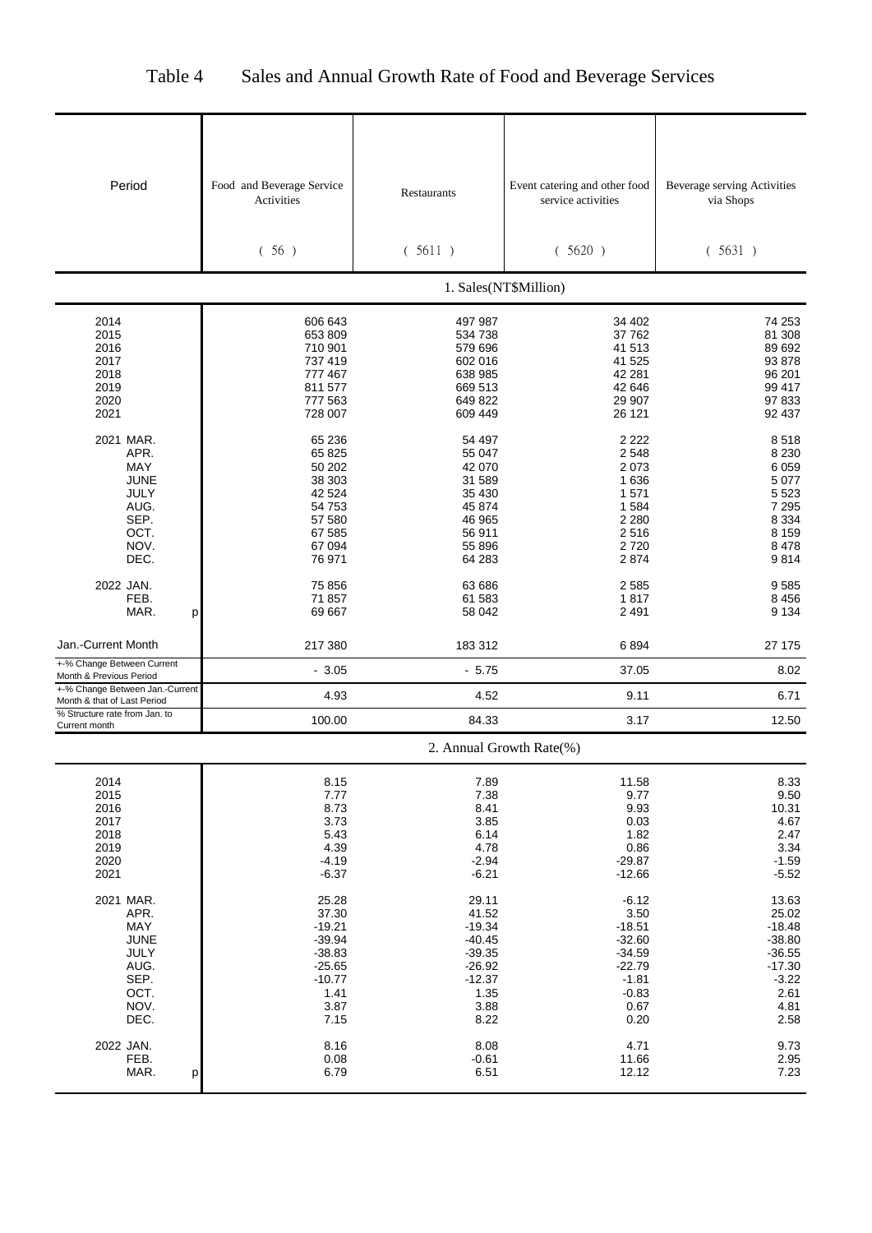| Period                                                                                  | Food and Beverage Service<br>Activities<br>(56)                                                    | Restaurants<br>(5611)                                                                              | Event catering and other food<br>service activities<br>(5620)                                         | <b>Beverage serving Activities</b><br>via Shops<br>(5631)                                         |
|-----------------------------------------------------------------------------------------|----------------------------------------------------------------------------------------------------|----------------------------------------------------------------------------------------------------|-------------------------------------------------------------------------------------------------------|---------------------------------------------------------------------------------------------------|
|                                                                                         |                                                                                                    |                                                                                                    |                                                                                                       |                                                                                                   |
|                                                                                         |                                                                                                    |                                                                                                    | 1. Sales(NT\$Million)                                                                                 |                                                                                                   |
| 2014<br>2015<br>2016<br>2017<br>2018<br>2019<br>2020<br>2021                            | 606 643<br>653 809<br>710 901<br>737 419<br>777 467<br>811 577<br>777 563<br>728 007               | 497 987<br>534 738<br>579 696<br>602 016<br>638 985<br>669 513<br>649 822<br>609 449               | 34 402<br>37 762<br>41 513<br>41 525<br>42 281<br>42 646<br>29 907<br>26 121                          | 74 253<br>81 308<br>89 692<br>93 878<br>96 201<br>99 417<br>97 833<br>92 437                      |
| 2021 MAR.<br>APR.<br>MAY<br><b>JUNE</b><br>JULY<br>AUG.<br>SEP.<br>OCT.<br>NOV.<br>DEC. | 65 236<br>65 825<br>50 202<br>38 303<br>42 524<br>54 753<br>57 580<br>67 585<br>67 094<br>76 971   | 54 497<br>55 047<br>42 070<br>31 589<br>35 430<br>45 874<br>46 965<br>56 911<br>55 896<br>64 283   | 2 2 2 2<br>2 5 4 8<br>2073<br>1 6 3 6<br>1 571<br>1 5 8 4<br>2 2 8 0<br>2516<br>2720<br>2874          | 8518<br>8 2 3 0<br>6 0 5 9<br>5 0 7 7<br>5 5 2 3<br>7 2 9 5<br>8 3 3 4<br>8 1 5 9<br>8478<br>9814 |
| 2022 JAN.<br>FEB.<br>MAR.<br>р                                                          | 75 856<br>71 857<br>69 667                                                                         | 63 686<br>61 583<br>58 042                                                                         | 2585<br>1817<br>2 4 9 1                                                                               | 9585<br>8 4 5 6<br>9 1 3 4                                                                        |
| Jan.-Current Month                                                                      | 217 380                                                                                            | 183 312                                                                                            | 6894                                                                                                  | 27 175                                                                                            |
| +-% Change Between Current<br>Month & Previous Period                                   | $-3.05$                                                                                            | $-5.75$                                                                                            | 37.05                                                                                                 | 8.02                                                                                              |
| +-% Change Between Jan.-Current<br>Month & that of Last Period                          | 4.93                                                                                               | 4.52                                                                                               | 9.11                                                                                                  | 6.71                                                                                              |
| % Structure rate from Jan. to<br>Current month                                          | 100.00                                                                                             | 84.33                                                                                              | 3.17                                                                                                  | 12.50                                                                                             |
|                                                                                         |                                                                                                    | 2. Annual Growth Rate(%)                                                                           |                                                                                                       |                                                                                                   |
| 2014<br>2015<br>2016<br>2017<br>2018<br>2019<br>2020<br>2021                            | 8.15<br>7.77<br>8.73<br>3.73<br>5.43<br>4.39<br>$-4.19$<br>$-6.37$                                 | 7.89<br>7.38<br>8.41<br>3.85<br>6.14<br>4.78<br>$-2.94$<br>$-6.21$                                 | 11.58<br>9.77<br>9.93<br>0.03<br>1.82<br>0.86<br>$-29.87$<br>$-12.66$                                 | 8.33<br>9.50<br>10.31<br>4.67<br>2.47<br>3.34<br>$-1.59$<br>$-5.52$                               |
| 2021 MAR.<br>APR.<br>MAY<br><b>JUNE</b><br>JULY<br>AUG.<br>SEP.<br>OCT.<br>NOV.<br>DEC. | 25.28<br>37.30<br>$-19.21$<br>$-39.94$<br>$-38.83$<br>$-25.65$<br>$-10.77$<br>1.41<br>3.87<br>7.15 | 29.11<br>41.52<br>$-19.34$<br>$-40.45$<br>$-39.35$<br>$-26.92$<br>$-12.37$<br>1.35<br>3.88<br>8.22 | $-6.12$<br>3.50<br>$-18.51$<br>$-32.60$<br>$-34.59$<br>$-22.79$<br>$-1.81$<br>$-0.83$<br>0.67<br>0.20 | 13.63<br>25.02<br>$-18.48$<br>$-38.80$<br>$-36.55$<br>$-17.30$<br>$-3.22$<br>2.61<br>4.81<br>2.58 |
| 2022 JAN.<br>FEB.<br>MAR.<br>р                                                          | 8.16<br>0.08<br>6.79                                                                               | 8.08<br>$-0.61$<br>6.51                                                                            | 4.71<br>11.66<br>12.12                                                                                | 9.73<br>2.95<br>7.23                                                                              |

# Table 4 Sales and Annual Growth Rate of Food and Beverage Services